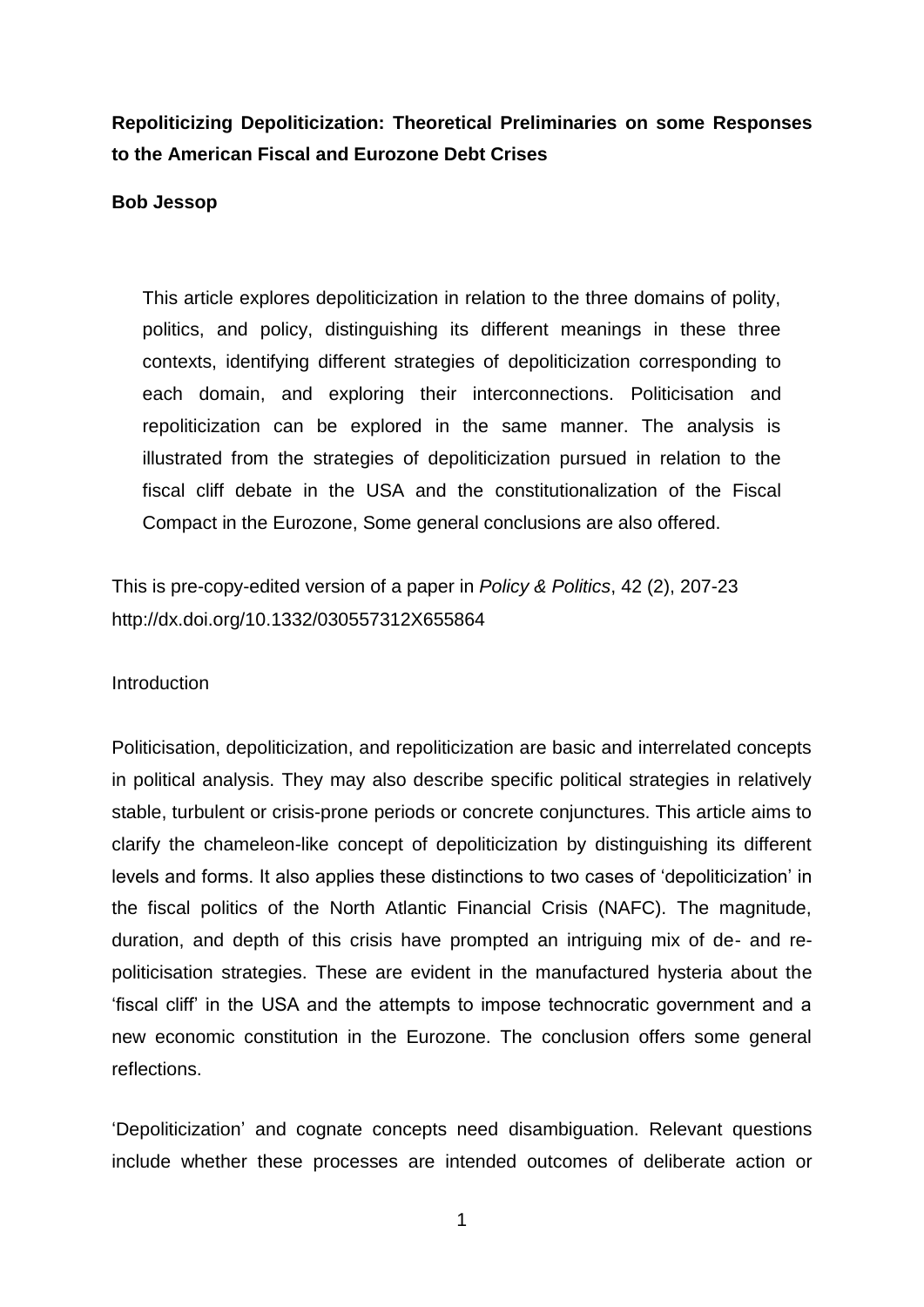# **Repoliticizing Depoliticization: Theoretical Preliminaries on some Responses to the American Fiscal and Eurozone Debt Crises**

### **Bob Jessop**

This article explores depoliticization in relation to the three domains of polity, politics, and policy, distinguishing its different meanings in these three contexts, identifying different strategies of depoliticization corresponding to each domain, and exploring their interconnections. Politicisation and repoliticization can be explored in the same manner. The analysis is illustrated from the strategies of depoliticization pursued in relation to the fiscal cliff debate in the USA and the constitutionalization of the Fiscal Compact in the Eurozone, Some general conclusions are also offered.

This is pre-copy-edited version of a paper in *Policy & Politics*, 42 (2), 207-23 http://dx.doi.org/10.1332/030557312X655864

#### **Introduction**

Politicisation, depoliticization, and repoliticization are basic and interrelated concepts in political analysis. They may also describe specific political strategies in relatively stable, turbulent or crisis-prone periods or concrete conjunctures. This article aims to clarify the chameleon-like concept of depoliticization by distinguishing its different levels and forms. It also applies these distinctions to two cases of 'depoliticization' in the fiscal politics of the North Atlantic Financial Crisis (NAFC). The magnitude, duration, and depth of this crisis have prompted an intriguing mix of de- and repoliticisation strategies. These are evident in the manufactured hysteria about the 'fiscal cliff' in the USA and the attempts to impose technocratic government and a new economic constitution in the Eurozone. The conclusion offers some general reflections.

'Depoliticization' and cognate concepts need disambiguation. Relevant questions include whether these processes are intended outcomes of deliberate action or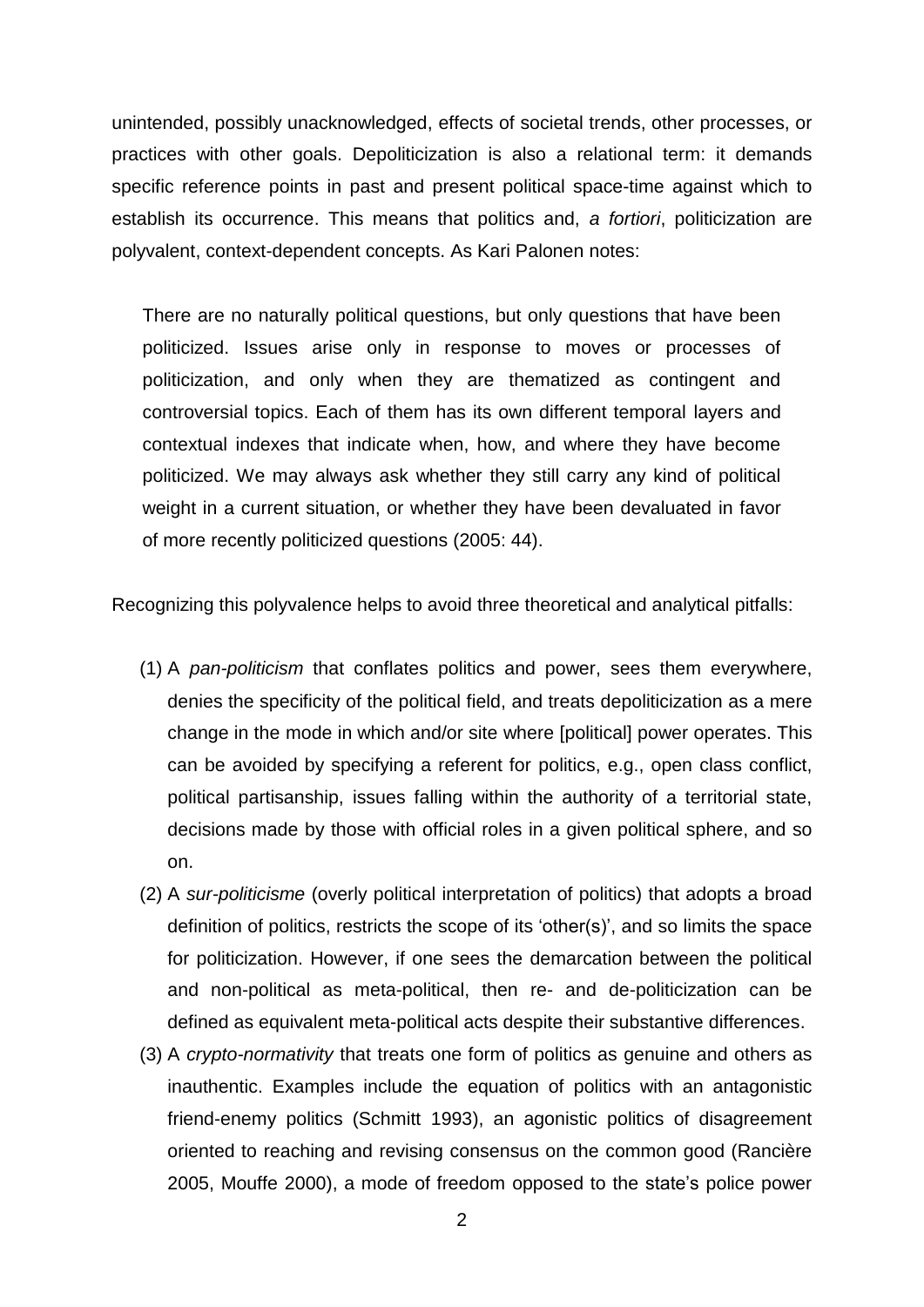unintended, possibly unacknowledged, effects of societal trends, other processes, or practices with other goals. Depoliticization is also a relational term: it demands specific reference points in past and present political space-time against which to establish its occurrence. This means that politics and, *a fortiori*, politicization are polyvalent, context-dependent concepts. As Kari Palonen notes:

There are no naturally political questions, but only questions that have been politicized. Issues arise only in response to moves or processes of politicization, and only when they are thematized as contingent and controversial topics. Each of them has its own different temporal layers and contextual indexes that indicate when, how, and where they have become politicized. We may always ask whether they still carry any kind of political weight in a current situation, or whether they have been devaluated in favor of more recently politicized questions (2005: 44).

Recognizing this polyvalence helps to avoid three theoretical and analytical pitfalls:

- (1) A *pan-politicism* that conflates politics and power, sees them everywhere, denies the specificity of the political field, and treats depoliticization as a mere change in the mode in which and/or site where [political] power operates. This can be avoided by specifying a referent for politics, e.g., open class conflict, political partisanship, issues falling within the authority of a territorial state, decisions made by those with official roles in a given political sphere, and so on.
- (2) A *sur-politicisme* (overly political interpretation of politics) that adopts a broad definition of politics, restricts the scope of its 'other(s)', and so limits the space for politicization. However, if one sees the demarcation between the political and non-political as meta-political, then re- and de-politicization can be defined as equivalent meta-political acts despite their substantive differences.
- (3) A *crypto-normativity* that treats one form of politics as genuine and others as inauthentic. Examples include the equation of politics with an antagonistic friend-enemy politics (Schmitt 1993), an agonistic politics of disagreement oriented to reaching and revising consensus on the common good (Rancière 2005, Mouffe 2000), a mode of freedom opposed to the state's police power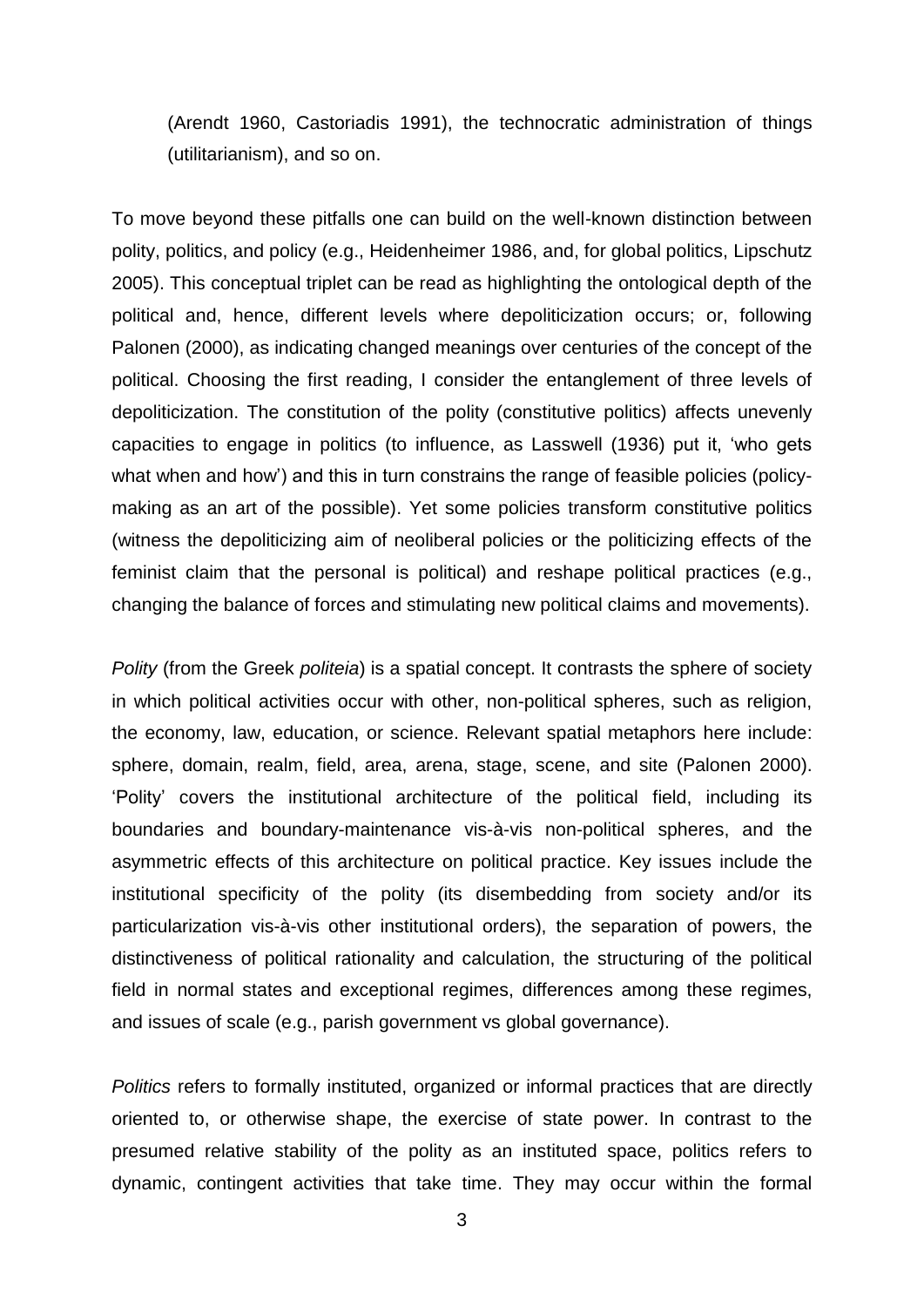(Arendt 1960, Castoriadis 1991), the technocratic administration of things (utilitarianism), and so on.

To move beyond these pitfalls one can build on the well-known distinction between polity, politics, and policy (e.g., Heidenheimer 1986, and, for global politics, Lipschutz 2005). This conceptual triplet can be read as highlighting the ontological depth of the political and, hence, different levels where depoliticization occurs; or, following Palonen (2000), as indicating changed meanings over centuries of the concept of the political. Choosing the first reading, I consider the entanglement of three levels of depoliticization. The constitution of the polity (constitutive politics) affects unevenly capacities to engage in politics (to influence, as Lasswell (1936) put it, 'who gets what when and how') and this in turn constrains the range of feasible policies (policymaking as an art of the possible). Yet some policies transform constitutive politics (witness the depoliticizing aim of neoliberal policies or the politicizing effects of the feminist claim that the personal is political) and reshape political practices (e.g., changing the balance of forces and stimulating new political claims and movements).

*Polity* (from the Greek *politeia*) is a spatial concept. It contrasts the sphere of society in which political activities occur with other, non-political spheres, such as religion, the economy, law, education, or science. Relevant spatial metaphors here include: sphere, domain, realm, field, area, arena, stage, scene, and site (Palonen 2000). 'Polity' covers the institutional architecture of the political field, including its boundaries and boundary-maintenance vis-à-vis non-political spheres, and the asymmetric effects of this architecture on political practice. Key issues include the institutional specificity of the polity (its disembedding from society and/or its particularization vis-à-vis other institutional orders), the separation of powers, the distinctiveness of political rationality and calculation, the structuring of the political field in normal states and exceptional regimes, differences among these regimes, and issues of scale (e.g., parish government vs global governance).

*Politics* refers to formally instituted, organized or informal practices that are directly oriented to, or otherwise shape, the exercise of state power. In contrast to the presumed relative stability of the polity as an instituted space, politics refers to dynamic, contingent activities that take time. They may occur within the formal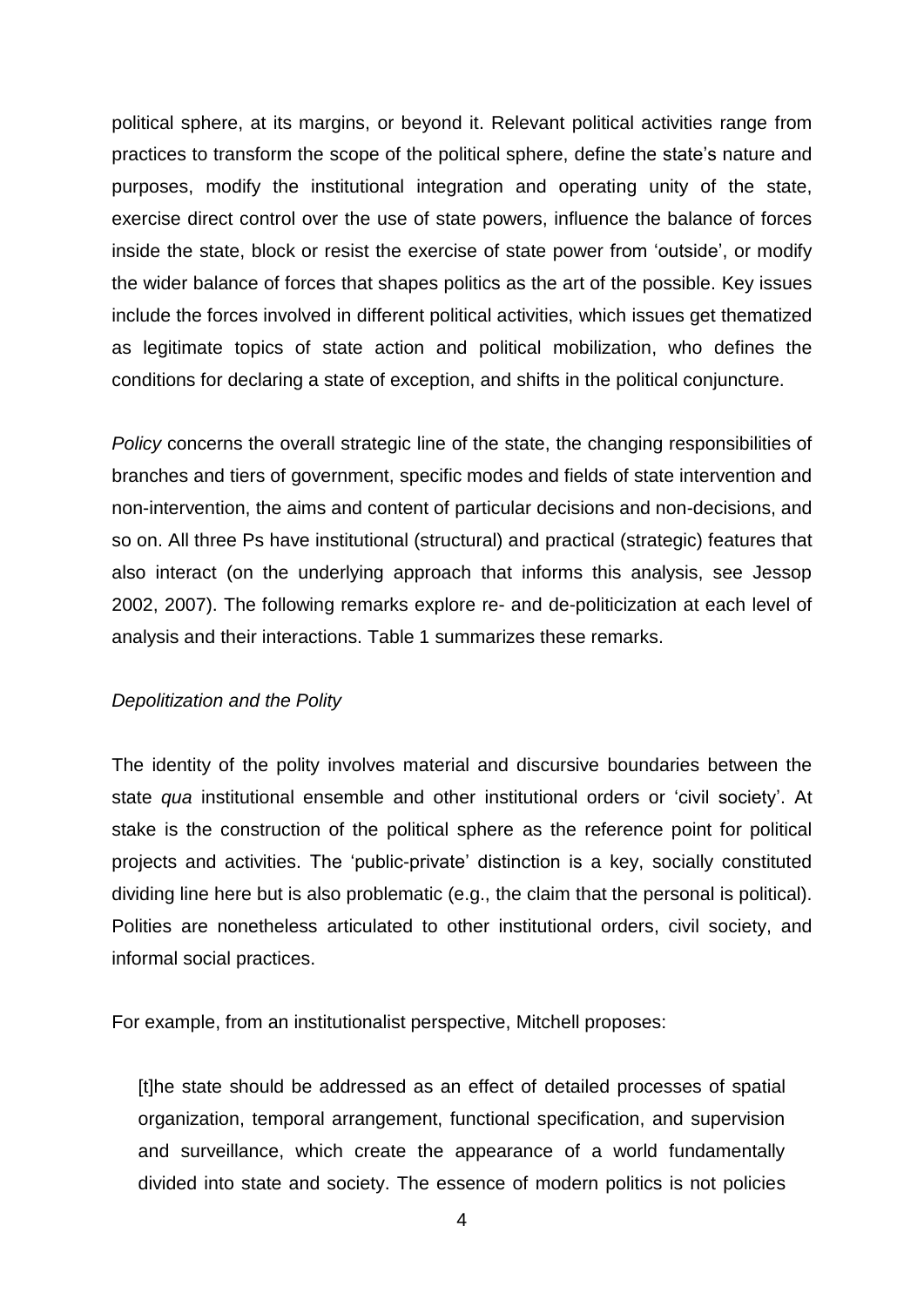political sphere, at its margins, or beyond it. Relevant political activities range from practices to transform the scope of the political sphere, define the state's nature and purposes, modify the institutional integration and operating unity of the state, exercise direct control over the use of state powers, influence the balance of forces inside the state, block or resist the exercise of state power from 'outside', or modify the wider balance of forces that shapes politics as the art of the possible. Key issues include the forces involved in different political activities, which issues get thematized as legitimate topics of state action and political mobilization, who defines the conditions for declaring a state of exception, and shifts in the political conjuncture.

*Policy* concerns the overall strategic line of the state, the changing responsibilities of branches and tiers of government, specific modes and fields of state intervention and non-intervention, the aims and content of particular decisions and non-decisions, and so on. All three Ps have institutional (structural) and practical (strategic) features that also interact (on the underlying approach that informs this analysis, see Jessop 2002, 2007). The following remarks explore re- and de-politicization at each level of analysis and their interactions. Table 1 summarizes these remarks.

#### *Depolitization and the Polity*

The identity of the polity involves material and discursive boundaries between the state *qua* institutional ensemble and other institutional orders or 'civil society'. At stake is the construction of the political sphere as the reference point for political projects and activities. The 'public-private' distinction is a key, socially constituted dividing line here but is also problematic (e.g., the claim that the personal is political). Polities are nonetheless articulated to other institutional orders, civil society, and informal social practices.

For example, from an institutionalist perspective, Mitchell proposes:

[t]he state should be addressed as an effect of detailed processes of spatial organization, temporal arrangement, functional specification, and supervision and surveillance, which create the appearance of a world fundamentally divided into state and society. The essence of modern politics is not policies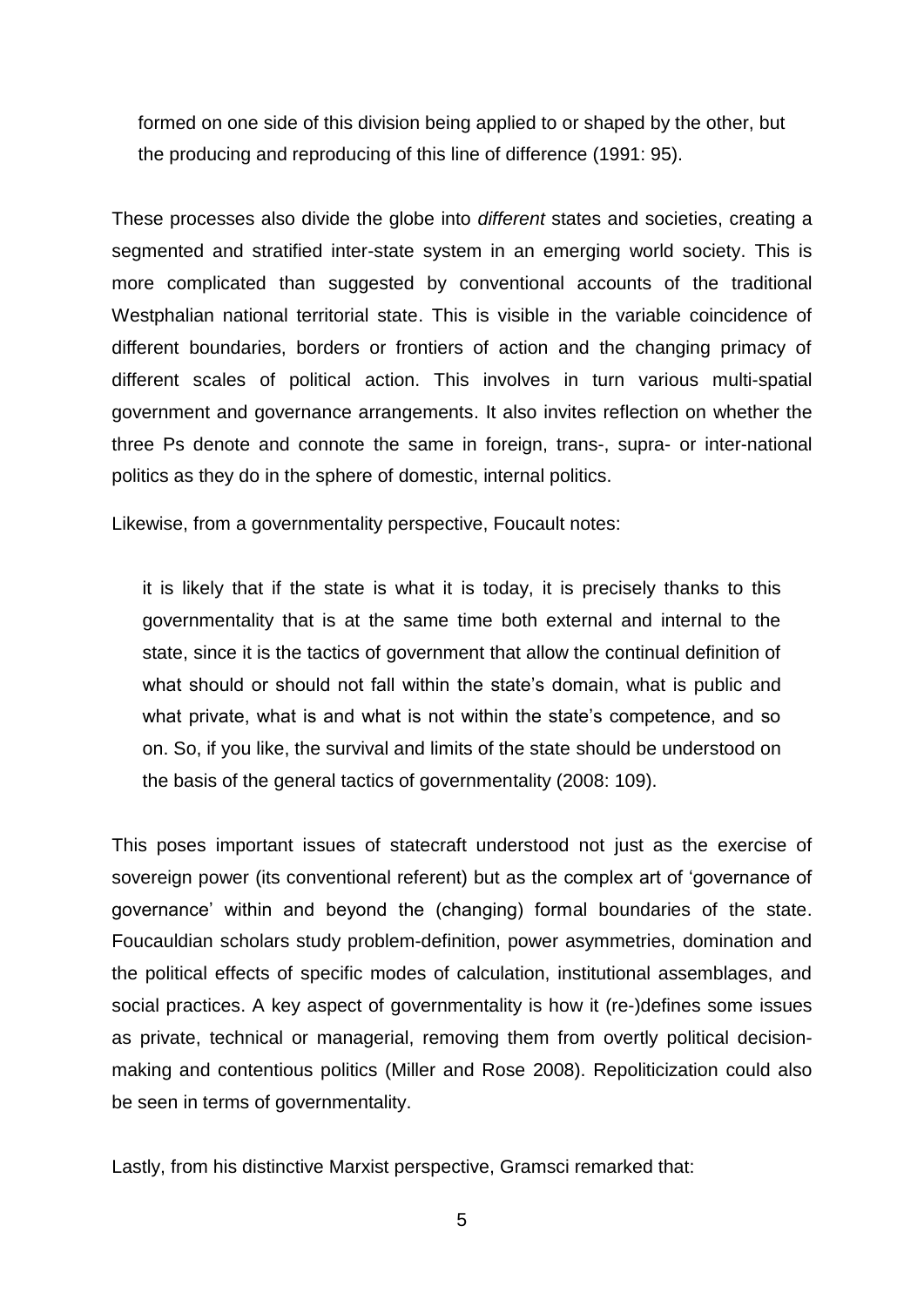formed on one side of this division being applied to or shaped by the other, but the producing and reproducing of this line of difference (1991: 95).

These processes also divide the globe into *different* states and societies, creating a segmented and stratified inter-state system in an emerging world society. This is more complicated than suggested by conventional accounts of the traditional Westphalian national territorial state. This is visible in the variable coincidence of different boundaries, borders or frontiers of action and the changing primacy of different scales of political action. This involves in turn various multi-spatial government and governance arrangements. It also invites reflection on whether the three Ps denote and connote the same in foreign, trans-, supra- or inter-national politics as they do in the sphere of domestic, internal politics.

Likewise, from a governmentality perspective, Foucault notes:

it is likely that if the state is what it is today, it is precisely thanks to this governmentality that is at the same time both external and internal to the state, since it is the tactics of government that allow the continual definition of what should or should not fall within the state's domain, what is public and what private, what is and what is not within the state's competence, and so on. So, if you like, the survival and limits of the state should be understood on the basis of the general tactics of governmentality (2008: 109).

This poses important issues of statecraft understood not just as the exercise of sovereign power (its conventional referent) but as the complex art of 'governance of governance' within and beyond the (changing) formal boundaries of the state. Foucauldian scholars study problem-definition, power asymmetries, domination and the political effects of specific modes of calculation, institutional assemblages, and social practices. A key aspect of governmentality is how it (re-)defines some issues as private, technical or managerial, removing them from overtly political decisionmaking and contentious politics (Miller and Rose 2008). Repoliticization could also be seen in terms of governmentality.

Lastly, from his distinctive Marxist perspective, Gramsci remarked that: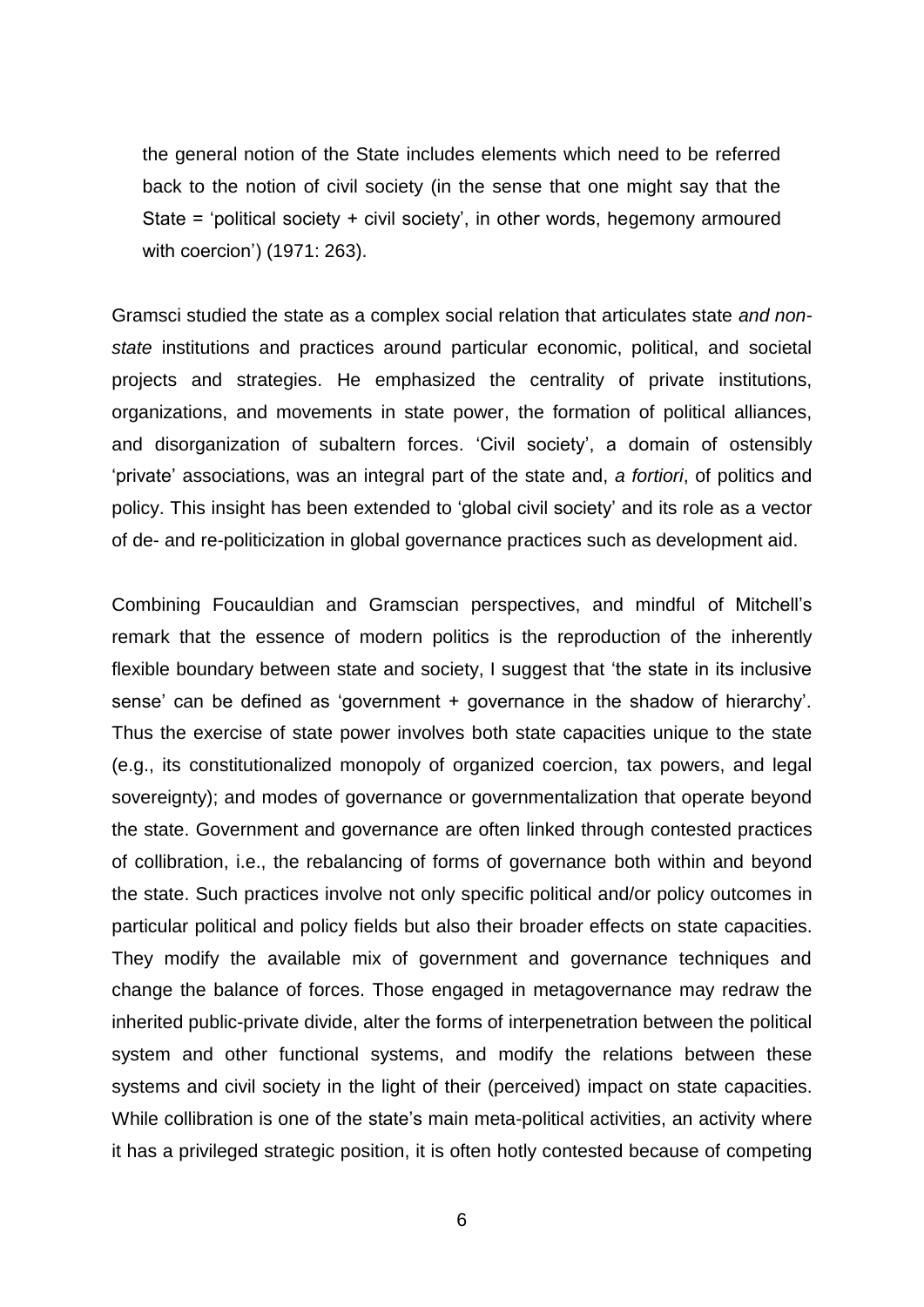the general notion of the State includes elements which need to be referred back to the notion of civil society (in the sense that one might say that the State = 'political society + civil society', in other words, hegemony armoured with coercion') (1971: 263).

Gramsci studied the state as a complex social relation that articulates state *and nonstate* institutions and practices around particular economic, political, and societal projects and strategies. He emphasized the centrality of private institutions, organizations, and movements in state power, the formation of political alliances, and disorganization of subaltern forces. 'Civil society', a domain of ostensibly 'private' associations, was an integral part of the state and, *a fortiori*, of politics and policy. This insight has been extended to 'global civil society' and its role as a vector of de- and re-politicization in global governance practices such as development aid.

Combining Foucauldian and Gramscian perspectives, and mindful of Mitchell's remark that the essence of modern politics is the reproduction of the inherently flexible boundary between state and society, I suggest that 'the state in its inclusive sense' can be defined as 'government + governance in the shadow of hierarchy'. Thus the exercise of state power involves both state capacities unique to the state (e.g., its constitutionalized monopoly of organized coercion, tax powers, and legal sovereignty); and modes of governance or governmentalization that operate beyond the state. Government and governance are often linked through contested practices of collibration, i.e., the rebalancing of forms of governance both within and beyond the state. Such practices involve not only specific political and/or policy outcomes in particular political and policy fields but also their broader effects on state capacities. They modify the available mix of government and governance techniques and change the balance of forces. Those engaged in metagovernance may redraw the inherited public-private divide, alter the forms of interpenetration between the political system and other functional systems, and modify the relations between these systems and civil society in the light of their (perceived) impact on state capacities. While collibration is one of the state's main meta-political activities, an activity where it has a privileged strategic position, it is often hotly contested because of competing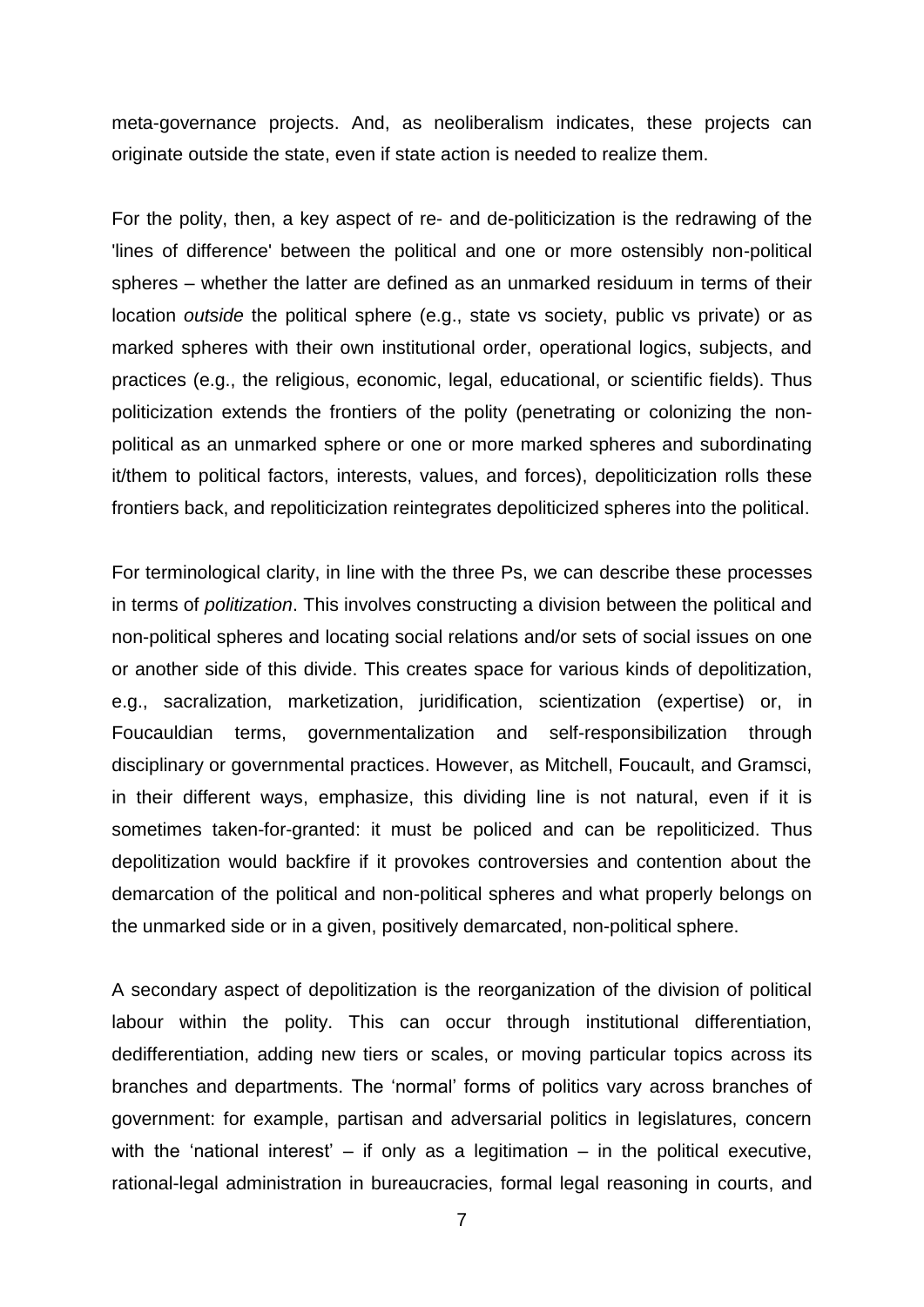meta-governance projects. And, as neoliberalism indicates, these projects can originate outside the state, even if state action is needed to realize them.

For the polity, then, a key aspect of re- and de-politicization is the redrawing of the 'lines of difference' between the political and one or more ostensibly non-political spheres – whether the latter are defined as an unmarked residuum in terms of their location *outside* the political sphere (e.g., state vs society, public vs private) or as marked spheres with their own institutional order, operational logics, subjects, and practices (e.g., the religious, economic, legal, educational, or scientific fields). Thus politicization extends the frontiers of the polity (penetrating or colonizing the nonpolitical as an unmarked sphere or one or more marked spheres and subordinating it/them to political factors, interests, values, and forces), depoliticization rolls these frontiers back, and repoliticization reintegrates depoliticized spheres into the political.

For terminological clarity, in line with the three Ps, we can describe these processes in terms of *politization*. This involves constructing a division between the political and non-political spheres and locating social relations and/or sets of social issues on one or another side of this divide. This creates space for various kinds of depolitization, e.g., sacralization, marketization, juridification, scientization (expertise) or, in Foucauldian terms, governmentalization and self-responsibilization through disciplinary or governmental practices. However, as Mitchell, Foucault, and Gramsci, in their different ways, emphasize, this dividing line is not natural, even if it is sometimes taken-for-granted: it must be policed and can be repoliticized. Thus depolitization would backfire if it provokes controversies and contention about the demarcation of the political and non-political spheres and what properly belongs on the unmarked side or in a given, positively demarcated, non-political sphere.

A secondary aspect of depolitization is the reorganization of the division of political labour within the polity. This can occur through institutional differentiation, dedifferentiation, adding new tiers or scales, or moving particular topics across its branches and departments. The 'normal' forms of politics vary across branches of government: for example, partisan and adversarial politics in legislatures, concern with the 'national interest'  $-$  if only as a legitimation  $-$  in the political executive, rational-legal administration in bureaucracies, formal legal reasoning in courts, and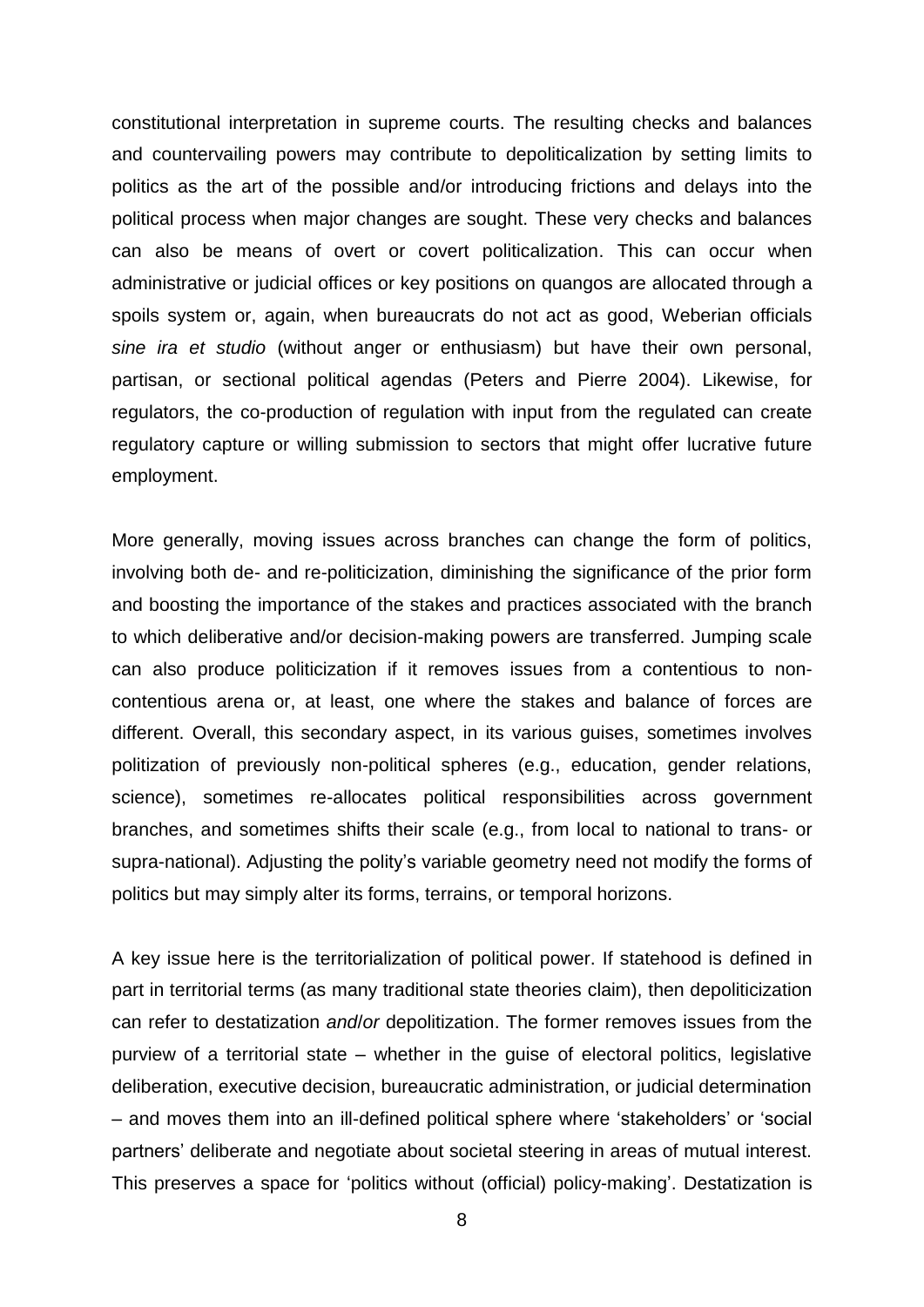constitutional interpretation in supreme courts. The resulting checks and balances and countervailing powers may contribute to depoliticalization by setting limits to politics as the art of the possible and/or introducing frictions and delays into the political process when major changes are sought. These very checks and balances can also be means of overt or covert politicalization. This can occur when administrative or judicial offices or key positions on quangos are allocated through a spoils system or, again, when bureaucrats do not act as good, Weberian officials *sine ira et studio* (without anger or enthusiasm) but have their own personal, partisan, or sectional political agendas (Peters and Pierre 2004). Likewise, for regulators, the co-production of regulation with input from the regulated can create regulatory capture or willing submission to sectors that might offer lucrative future employment.

More generally, moving issues across branches can change the form of politics, involving both de- and re-politicization, diminishing the significance of the prior form and boosting the importance of the stakes and practices associated with the branch to which deliberative and/or decision-making powers are transferred. Jumping scale can also produce politicization if it removes issues from a contentious to noncontentious arena or, at least, one where the stakes and balance of forces are different. Overall, this secondary aspect, in its various guises, sometimes involves politization of previously non-political spheres (e.g., education, gender relations, science), sometimes re-allocates political responsibilities across government branches, and sometimes shifts their scale (e.g., from local to national to trans- or supra-national). Adjusting the polity's variable geometry need not modify the forms of politics but may simply alter its forms, terrains, or temporal horizons.

A key issue here is the territorialization of political power. If statehood is defined in part in territorial terms (as many traditional state theories claim), then depoliticization can refer to destatization *and*/*or* depolitization. The former removes issues from the purview of a territorial state – whether in the guise of electoral politics, legislative deliberation, executive decision, bureaucratic administration, or judicial determination – and moves them into an ill-defined political sphere where 'stakeholders' or 'social partners' deliberate and negotiate about societal steering in areas of mutual interest. This preserves a space for 'politics without (official) policy-making'. Destatization is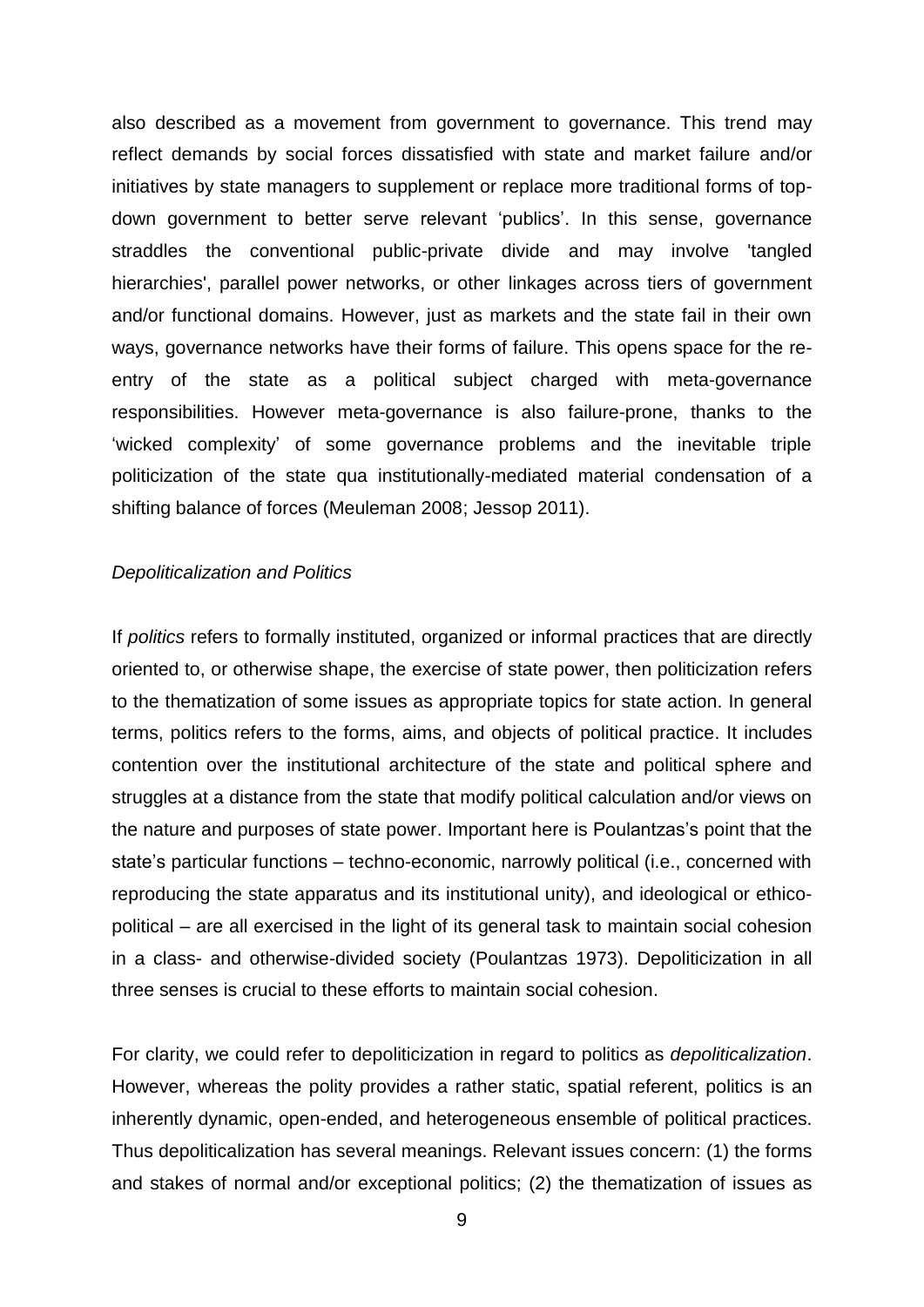also described as a movement from government to governance. This trend may reflect demands by social forces dissatisfied with state and market failure and/or initiatives by state managers to supplement or replace more traditional forms of topdown government to better serve relevant 'publics'. In this sense, governance straddles the conventional public-private divide and may involve 'tangled hierarchies', parallel power networks, or other linkages across tiers of government and/or functional domains. However, just as markets and the state fail in their own ways, governance networks have their forms of failure. This opens space for the reentry of the state as a political subject charged with meta-governance responsibilities. However meta-governance is also failure-prone, thanks to the 'wicked complexity' of some governance problems and the inevitable triple politicization of the state qua institutionally-mediated material condensation of a shifting balance of forces (Meuleman 2008; Jessop 2011).

#### *Depoliticalization and Politics*

If *politics* refers to formally instituted, organized or informal practices that are directly oriented to, or otherwise shape, the exercise of state power, then politicization refers to the thematization of some issues as appropriate topics for state action. In general terms, politics refers to the forms, aims, and objects of political practice. It includes contention over the institutional architecture of the state and political sphere and struggles at a distance from the state that modify political calculation and/or views on the nature and purposes of state power. Important here is Poulantzas's point that the state's particular functions – techno-economic, narrowly political (i.e., concerned with reproducing the state apparatus and its institutional unity), and ideological or ethicopolitical – are all exercised in the light of its general task to maintain social cohesion in a class- and otherwise-divided society (Poulantzas 1973). Depoliticization in all three senses is crucial to these efforts to maintain social cohesion.

For clarity, we could refer to depoliticization in regard to politics as *depoliticalization*. However, whereas the polity provides a rather static, spatial referent, politics is an inherently dynamic, open-ended, and heterogeneous ensemble of political practices. Thus depoliticalization has several meanings. Relevant issues concern: (1) the forms and stakes of normal and/or exceptional politics; (2) the thematization of issues as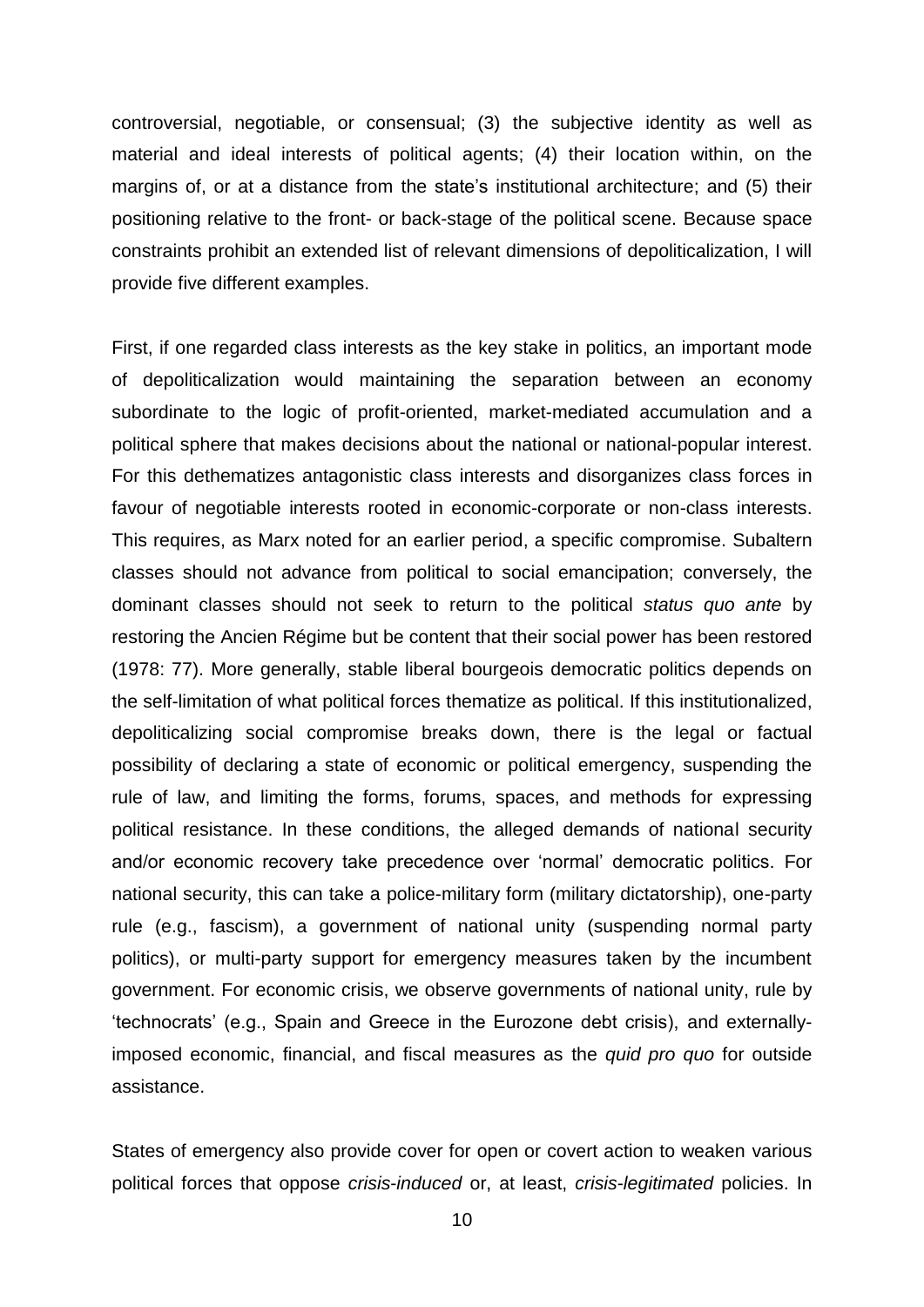controversial, negotiable, or consensual; (3) the subjective identity as well as material and ideal interests of political agents; (4) their location within, on the margins of, or at a distance from the state's institutional architecture; and (5) their positioning relative to the front- or back-stage of the political scene. Because space constraints prohibit an extended list of relevant dimensions of depoliticalization, I will provide five different examples.

First, if one regarded class interests as the key stake in politics, an important mode of depoliticalization would maintaining the separation between an economy subordinate to the logic of profit-oriented, market-mediated accumulation and a political sphere that makes decisions about the national or national-popular interest. For this dethematizes antagonistic class interests and disorganizes class forces in favour of negotiable interests rooted in economic-corporate or non-class interests. This requires, as Marx noted for an earlier period, a specific compromise. Subaltern classes should not advance from political to social emancipation; conversely, the dominant classes should not seek to return to the political *status quo ante* by restoring the Ancien Régime but be content that their social power has been restored (1978: 77). More generally, stable liberal bourgeois democratic politics depends on the self-limitation of what political forces thematize as political. If this institutionalized, depoliticalizing social compromise breaks down, there is the legal or factual possibility of declaring a state of economic or political emergency, suspending the rule of law, and limiting the forms, forums, spaces, and methods for expressing political resistance. In these conditions, the alleged demands of national security and/or economic recovery take precedence over 'normal' democratic politics. For national security, this can take a police-military form (military dictatorship), one-party rule (e.g., fascism), a government of national unity (suspending normal party politics), or multi-party support for emergency measures taken by the incumbent government. For economic crisis, we observe governments of national unity, rule by 'technocrats' (e.g., Spain and Greece in the Eurozone debt crisis), and externallyimposed economic, financial, and fiscal measures as the *quid pro quo* for outside assistance.

States of emergency also provide cover for open or covert action to weaken various political forces that oppose *crisis*-*induced* or, at least, *crisis*-*legitimated* policies. In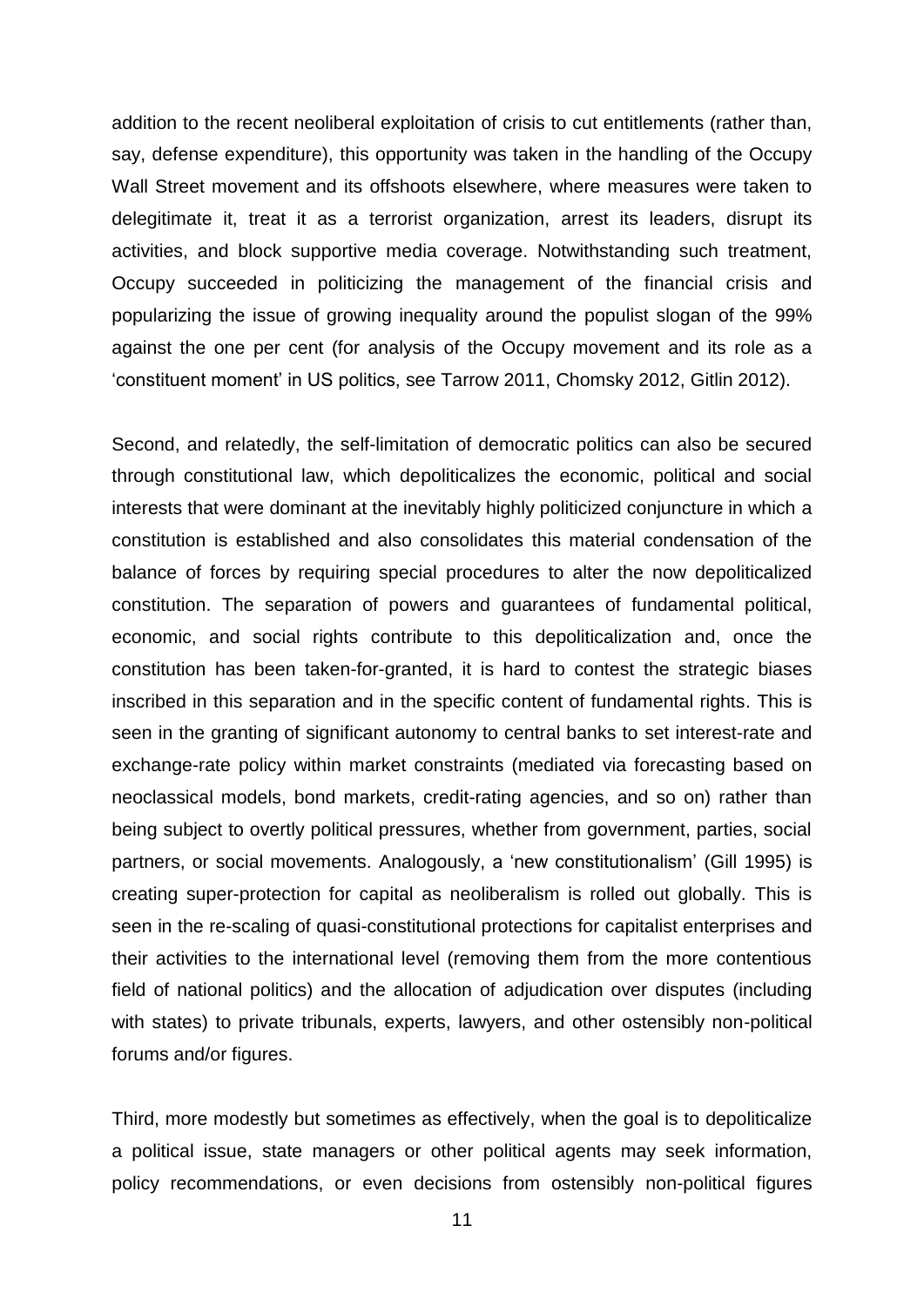addition to the recent neoliberal exploitation of crisis to cut entitlements (rather than, say, defense expenditure), this opportunity was taken in the handling of the Occupy Wall Street movement and its offshoots elsewhere, where measures were taken to delegitimate it, treat it as a terrorist organization, arrest its leaders, disrupt its activities, and block supportive media coverage. Notwithstanding such treatment, Occupy succeeded in politicizing the management of the financial crisis and popularizing the issue of growing inequality around the populist slogan of the 99% against the one per cent (for analysis of the Occupy movement and its role as a 'constituent moment' in US politics, see Tarrow 2011, Chomsky 2012, Gitlin 2012).

Second, and relatedly, the self-limitation of democratic politics can also be secured through constitutional law, which depoliticalizes the economic, political and social interests that were dominant at the inevitably highly politicized conjuncture in which a constitution is established and also consolidates this material condensation of the balance of forces by requiring special procedures to alter the now depoliticalized constitution. The separation of powers and guarantees of fundamental political, economic, and social rights contribute to this depoliticalization and, once the constitution has been taken-for-granted, it is hard to contest the strategic biases inscribed in this separation and in the specific content of fundamental rights. This is seen in the granting of significant autonomy to central banks to set interest-rate and exchange-rate policy within market constraints (mediated via forecasting based on neoclassical models, bond markets, credit-rating agencies, and so on) rather than being subject to overtly political pressures, whether from government, parties, social partners, or social movements. Analogously, a 'new constitutionalism' (Gill 1995) is creating super-protection for capital as neoliberalism is rolled out globally. This is seen in the re-scaling of quasi-constitutional protections for capitalist enterprises and their activities to the international level (removing them from the more contentious field of national politics) and the allocation of adjudication over disputes (including with states) to private tribunals, experts, lawyers, and other ostensibly non-political forums and/or figures.

Third, more modestly but sometimes as effectively, when the goal is to depoliticalize a political issue, state managers or other political agents may seek information, policy recommendations, or even decisions from ostensibly non-political figures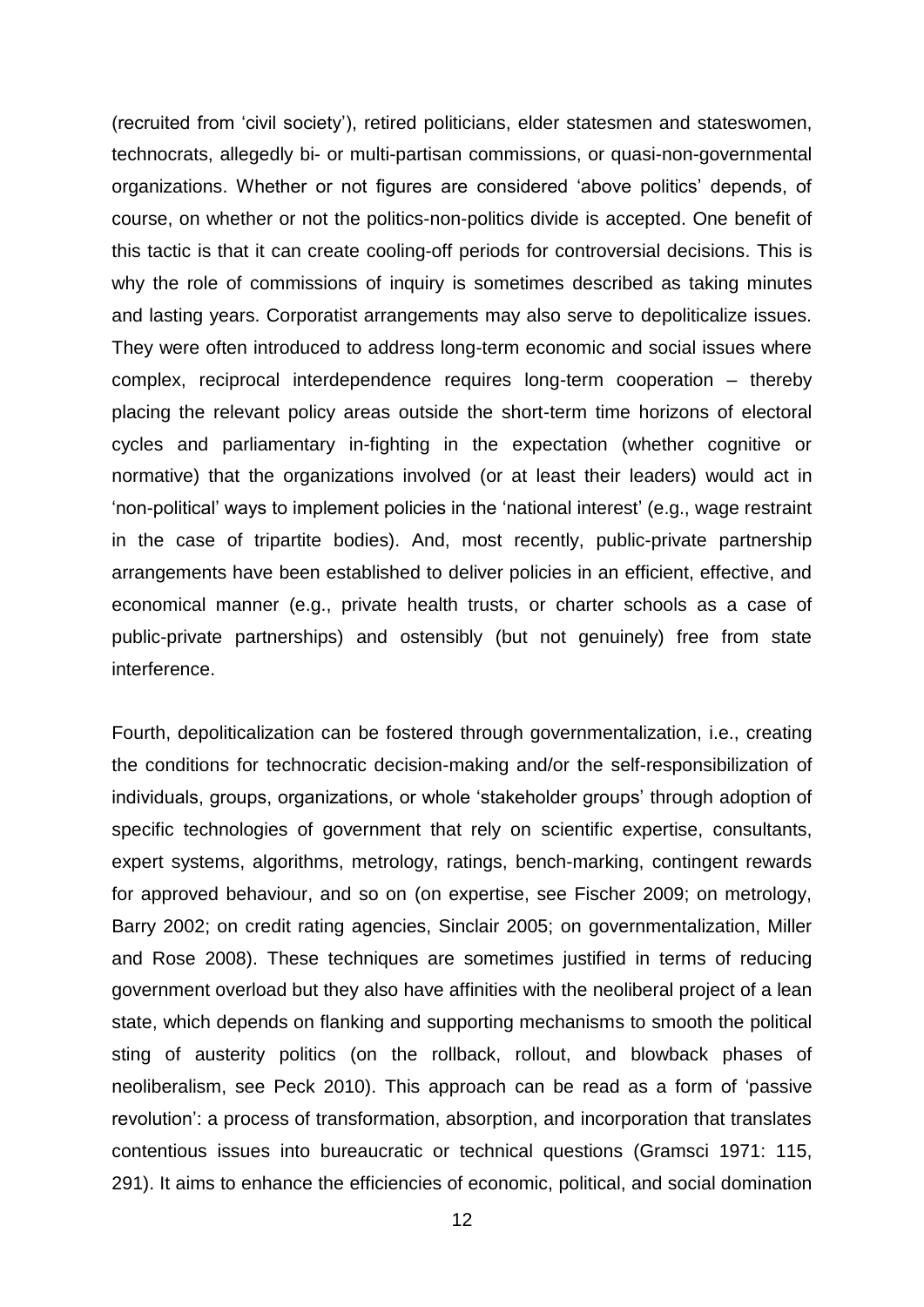(recruited from 'civil society'), retired politicians, elder statesmen and stateswomen, technocrats, allegedly bi- or multi-partisan commissions, or quasi-non-governmental organizations. Whether or not figures are considered 'above politics' depends, of course, on whether or not the politics-non-politics divide is accepted. One benefit of this tactic is that it can create cooling-off periods for controversial decisions. This is why the role of commissions of inquiry is sometimes described as taking minutes and lasting years. Corporatist arrangements may also serve to depoliticalize issues. They were often introduced to address long-term economic and social issues where complex, reciprocal interdependence requires long-term cooperation – thereby placing the relevant policy areas outside the short-term time horizons of electoral cycles and parliamentary in-fighting in the expectation (whether cognitive or normative) that the organizations involved (or at least their leaders) would act in 'non-political' ways to implement policies in the 'national interest' (e.g., wage restraint in the case of tripartite bodies). And, most recently, public-private partnership arrangements have been established to deliver policies in an efficient, effective, and economical manner (e.g., private health trusts, or charter schools as a case of public-private partnerships) and ostensibly (but not genuinely) free from state interference.

Fourth, depoliticalization can be fostered through governmentalization, i.e., creating the conditions for technocratic decision-making and/or the self-responsibilization of individuals, groups, organizations, or whole 'stakeholder groups' through adoption of specific technologies of government that rely on scientific expertise, consultants, expert systems, algorithms, metrology, ratings, bench-marking, contingent rewards for approved behaviour, and so on (on expertise, see Fischer 2009; on metrology, Barry 2002; on credit rating agencies, Sinclair 2005; on governmentalization, Miller and Rose 2008). These techniques are sometimes justified in terms of reducing government overload but they also have affinities with the neoliberal project of a lean state, which depends on flanking and supporting mechanisms to smooth the political sting of austerity politics (on the rollback, rollout, and blowback phases of neoliberalism, see Peck 2010). This approach can be read as a form of 'passive revolution': a process of transformation, absorption, and incorporation that translates contentious issues into bureaucratic or technical questions (Gramsci 1971: 115, 291). It aims to enhance the efficiencies of economic, political, and social domination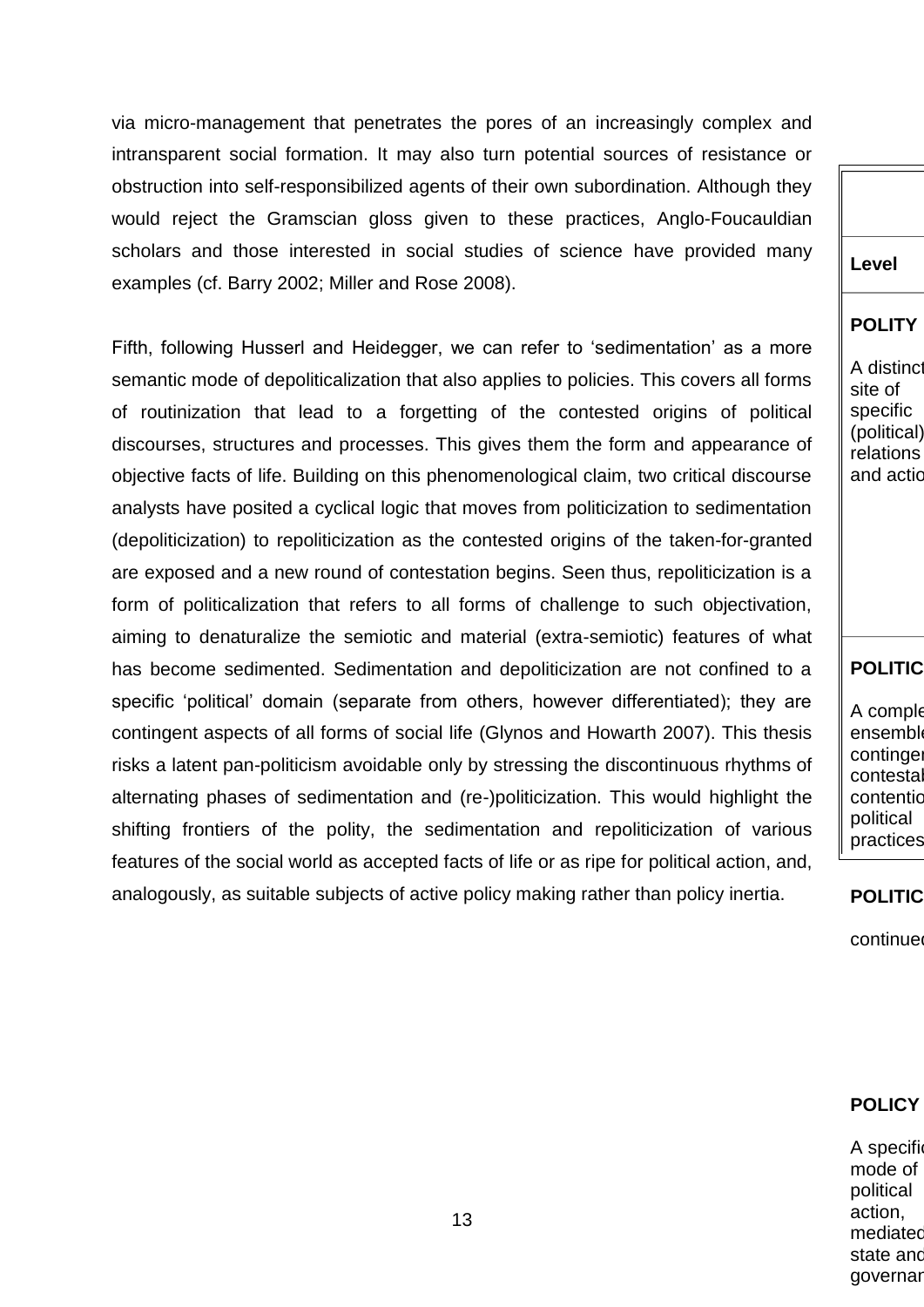via micro-management that penetrates the pores of an increasingly complex and intransparent social formation. It may also turn potential sources of resistance or obstruction into self-responsibilized agents of their own subordination. Although they would reject the Gramscian gloss given to these practices, Anglo-Foucauldian scholars and those interested in social studies of science have provided many examples (cf. Barry 2002; Miller and Rose 2008).

Fifth, following Husserl and Heidegger, we can refer to 'sedimentation' as a more semantic mode of depoliticalization that also applies to policies. This covers all forms of routinization that lead to a forgetting of the contested origins of political discourses, structures and processes. This gives them the form and appearance of objective facts of life. Building on this phenomenological claim, two critical discourse analysts have posited a cyclical logic that moves from politicization to sedimentation (depoliticization) to repoliticization as the contested origins of the taken-for-granted are exposed and a new round of contestation begins. Seen thus, repoliticization is a form of politicalization that refers to all forms of challenge to such objectivation, aiming to denaturalize the semiotic and material (extra-semiotic) features of what has become sedimented. Sedimentation and depoliticization are not confined to a specific 'political' domain (separate from others, however differentiated); they are contingent aspects of all forms of social life (Glynos and Howarth 2007). This thesis risks a latent pan-politicism avoidable only by stressing the discontinuous rhythms of alternating phases of sedimentation and (re-)politicization. This would highlight the shifting frontiers of the polity, the sedimentation and repoliticization of various features of the social world as accepted facts of life or as ripe for political action, and, analogously, as suitable subjects of active policy making rather than policy inertia.

**Level** 

#### **POLITY**

A distinct site of specific (political) relations and actic

## **POLITIC**

A comple ensemble continge contestal contentio political practices

**POLITIC** 

continue

**POLICY**

A specifi mode of political action, mediated state and governar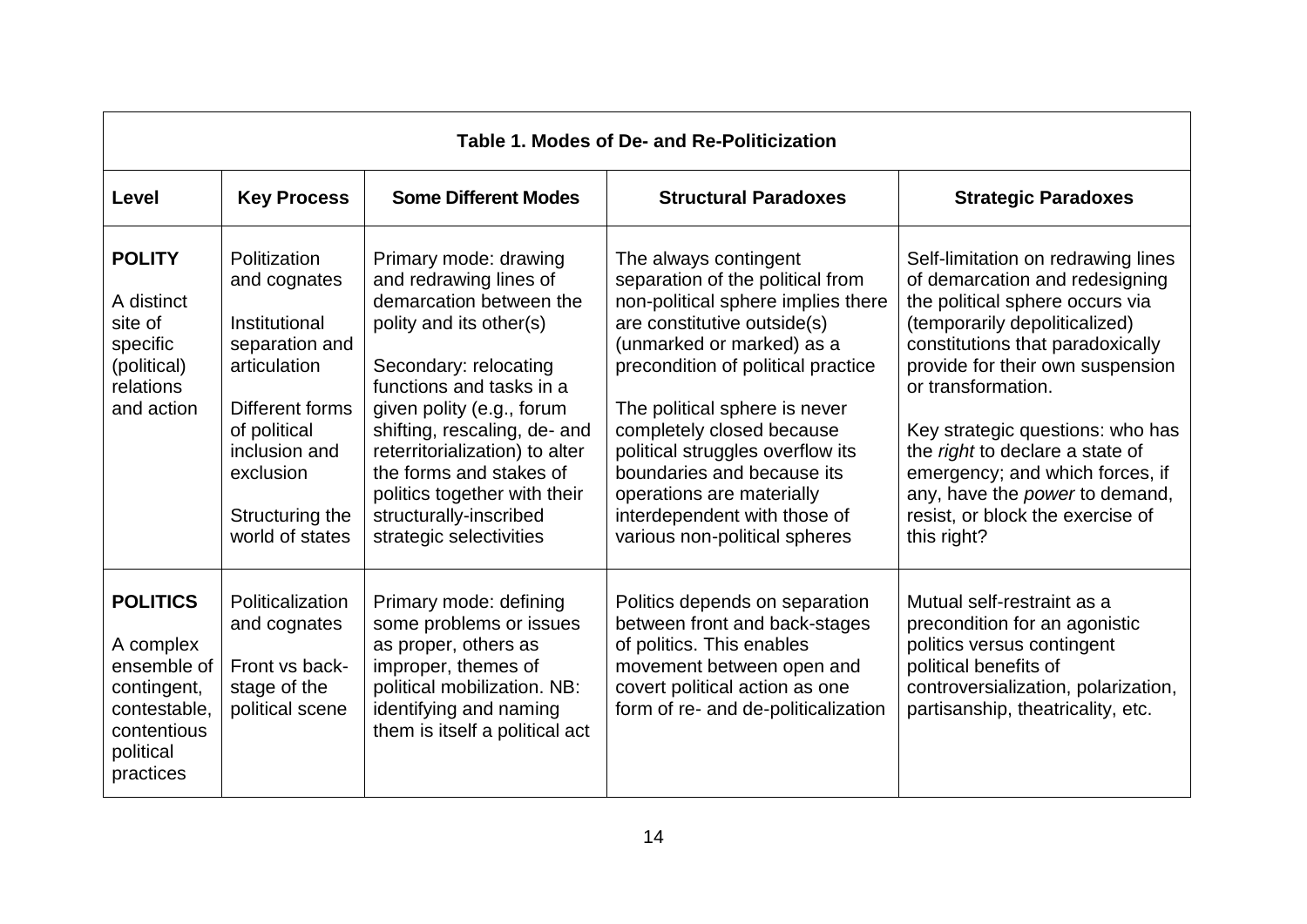| Table 1. Modes of De- and Re-Politicization                                                                         |                                                                                                                                                                                        |                                                                                                                                                                                                                                                                                                                                                                           |                                                                                                                                                                                                                                                                                                                                                                                                                                 |                                                                                                                                                                                                                                                                                                                                                                                                                                       |  |  |  |  |
|---------------------------------------------------------------------------------------------------------------------|----------------------------------------------------------------------------------------------------------------------------------------------------------------------------------------|---------------------------------------------------------------------------------------------------------------------------------------------------------------------------------------------------------------------------------------------------------------------------------------------------------------------------------------------------------------------------|---------------------------------------------------------------------------------------------------------------------------------------------------------------------------------------------------------------------------------------------------------------------------------------------------------------------------------------------------------------------------------------------------------------------------------|---------------------------------------------------------------------------------------------------------------------------------------------------------------------------------------------------------------------------------------------------------------------------------------------------------------------------------------------------------------------------------------------------------------------------------------|--|--|--|--|
| Level                                                                                                               | <b>Key Process</b>                                                                                                                                                                     | <b>Some Different Modes</b>                                                                                                                                                                                                                                                                                                                                               | <b>Structural Paradoxes</b>                                                                                                                                                                                                                                                                                                                                                                                                     | <b>Strategic Paradoxes</b>                                                                                                                                                                                                                                                                                                                                                                                                            |  |  |  |  |
| <b>POLITY</b><br>A distinct<br>site of<br>specific<br>(political)<br>relations<br>and action                        | Politization<br>and cognates<br>Institutional<br>separation and<br>articulation<br>Different forms<br>of political<br>inclusion and<br>exclusion<br>Structuring the<br>world of states | Primary mode: drawing<br>and redrawing lines of<br>demarcation between the<br>polity and its other(s)<br>Secondary: relocating<br>functions and tasks in a<br>given polity (e.g., forum<br>shifting, rescaling, de- and<br>reterritorialization) to alter<br>the forms and stakes of<br>politics together with their<br>structurally-inscribed<br>strategic selectivities | The always contingent<br>separation of the political from<br>non-political sphere implies there<br>are constitutive outside(s)<br>(unmarked or marked) as a<br>precondition of political practice<br>The political sphere is never<br>completely closed because<br>political struggles overflow its<br>boundaries and because its<br>operations are materially<br>interdependent with those of<br>various non-political spheres | Self-limitation on redrawing lines<br>of demarcation and redesigning<br>the political sphere occurs via<br>(temporarily depoliticalized)<br>constitutions that paradoxically<br>provide for their own suspension<br>or transformation.<br>Key strategic questions: who has<br>the right to declare a state of<br>emergency; and which forces, if<br>any, have the power to demand,<br>resist, or block the exercise of<br>this right? |  |  |  |  |
| <b>POLITICS</b><br>A complex<br>ensemble of<br>contingent,<br>contestable,<br>contentious<br>political<br>practices | Politicalization<br>and cognates<br>Front vs back-<br>stage of the<br>political scene                                                                                                  | Primary mode: defining<br>some problems or issues<br>as proper, others as<br>improper, themes of<br>political mobilization. NB:<br>identifying and naming<br>them is itself a political act                                                                                                                                                                               | Politics depends on separation<br>between front and back-stages<br>of politics. This enables<br>movement between open and<br>covert political action as one<br>form of re- and de-politicalization                                                                                                                                                                                                                              | Mutual self-restraint as a<br>precondition for an agonistic<br>politics versus contingent<br>political benefits of<br>controversialization, polarization,<br>partisanship, theatricality, etc.                                                                                                                                                                                                                                        |  |  |  |  |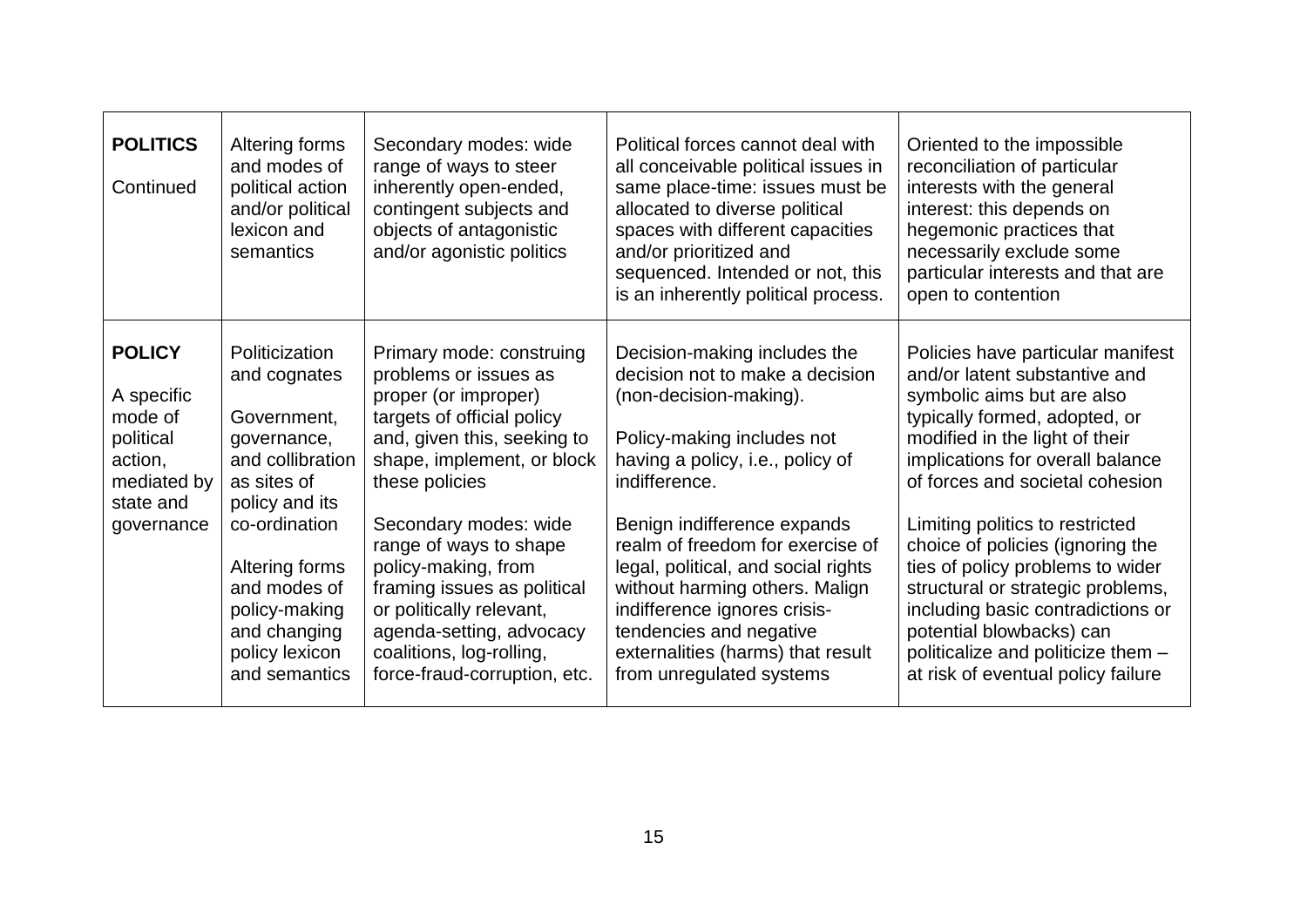| <b>POLITICS</b><br>Continued                                                                             | Altering forms<br>and modes of<br>political action<br>and/or political<br>lexicon and<br>semantics                                                                                                                                       | Secondary modes: wide<br>range of ways to steer<br>inherently open-ended,<br>contingent subjects and<br>objects of antagonistic<br>and/or agonistic politics                                                                                                                                                                                                                                                        | Political forces cannot deal with<br>all conceivable political issues in<br>same place-time: issues must be<br>allocated to diverse political<br>spaces with different capacities<br>and/or prioritized and<br>sequenced. Intended or not, this<br>is an inherently political process.                                                                                                                                                               | Oriented to the impossible<br>reconciliation of particular<br>interests with the general<br>interest: this depends on<br>hegemonic practices that<br>necessarily exclude some<br>particular interests and that are<br>open to contention                                                                                                                                                                                                                                                                                                |
|----------------------------------------------------------------------------------------------------------|------------------------------------------------------------------------------------------------------------------------------------------------------------------------------------------------------------------------------------------|---------------------------------------------------------------------------------------------------------------------------------------------------------------------------------------------------------------------------------------------------------------------------------------------------------------------------------------------------------------------------------------------------------------------|------------------------------------------------------------------------------------------------------------------------------------------------------------------------------------------------------------------------------------------------------------------------------------------------------------------------------------------------------------------------------------------------------------------------------------------------------|-----------------------------------------------------------------------------------------------------------------------------------------------------------------------------------------------------------------------------------------------------------------------------------------------------------------------------------------------------------------------------------------------------------------------------------------------------------------------------------------------------------------------------------------|
| <b>POLICY</b><br>A specific<br>mode of<br>political<br>action,<br>mediated by<br>state and<br>governance | Politicization<br>and cognates<br>Government.<br>governance,<br>and collibration<br>as sites of<br>policy and its<br>co-ordination<br>Altering forms<br>and modes of<br>policy-making<br>and changing<br>policy lexicon<br>and semantics | Primary mode: construing<br>problems or issues as<br>proper (or improper)<br>targets of official policy<br>and, given this, seeking to<br>shape, implement, or block<br>these policies<br>Secondary modes: wide<br>range of ways to shape<br>policy-making, from<br>framing issues as political<br>or politically relevant,<br>agenda-setting, advocacy<br>coalitions, log-rolling,<br>force-fraud-corruption, etc. | Decision-making includes the<br>decision not to make a decision<br>(non-decision-making).<br>Policy-making includes not<br>having a policy, i.e., policy of<br>indifference.<br>Benign indifference expands<br>realm of freedom for exercise of<br>legal, political, and social rights<br>without harming others. Malign<br>indifference ignores crisis-<br>tendencies and negative<br>externalities (harms) that result<br>from unregulated systems | Policies have particular manifest<br>and/or latent substantive and<br>symbolic aims but are also<br>typically formed, adopted, or<br>modified in the light of their<br>implications for overall balance<br>of forces and societal cohesion<br>Limiting politics to restricted<br>choice of policies (ignoring the<br>ties of policy problems to wider<br>structural or strategic problems,<br>including basic contradictions or<br>potential blowbacks) can<br>politicalize and politicize them -<br>at risk of eventual policy failure |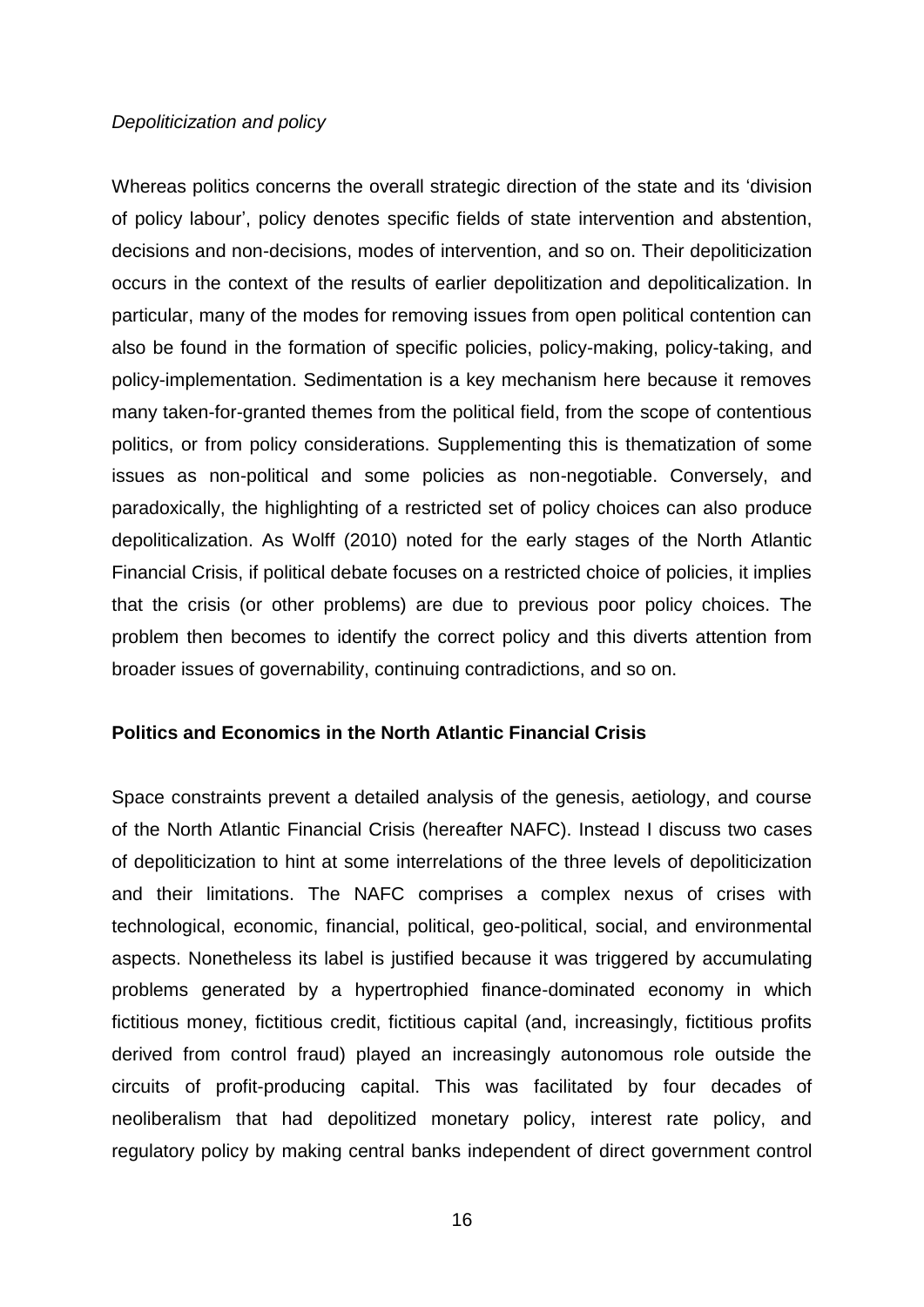#### *Depoliticization and policy*

Whereas politics concerns the overall strategic direction of the state and its 'division of policy labour', policy denotes specific fields of state intervention and abstention, decisions and non-decisions, modes of intervention, and so on. Their depoliticization occurs in the context of the results of earlier depolitization and depoliticalization. In particular, many of the modes for removing issues from open political contention can also be found in the formation of specific policies, policy-making, policy-taking, and policy-implementation. Sedimentation is a key mechanism here because it removes many taken-for-granted themes from the political field, from the scope of contentious politics, or from policy considerations. Supplementing this is thematization of some issues as non-political and some policies as non-negotiable. Conversely, and paradoxically, the highlighting of a restricted set of policy choices can also produce depoliticalization. As Wolff (2010) noted for the early stages of the North Atlantic Financial Crisis, if political debate focuses on a restricted choice of policies, it implies that the crisis (or other problems) are due to previous poor policy choices. The problem then becomes to identify the correct policy and this diverts attention from broader issues of governability, continuing contradictions, and so on.

#### **Politics and Economics in the North Atlantic Financial Crisis**

Space constraints prevent a detailed analysis of the genesis, aetiology, and course of the North Atlantic Financial Crisis (hereafter NAFC). Instead I discuss two cases of depoliticization to hint at some interrelations of the three levels of depoliticization and their limitations. The NAFC comprises a complex nexus of crises with technological, economic, financial, political, geo-political, social, and environmental aspects. Nonetheless its label is justified because it was triggered by accumulating problems generated by a hypertrophied finance-dominated economy in which fictitious money, fictitious credit, fictitious capital (and, increasingly, fictitious profits derived from control fraud) played an increasingly autonomous role outside the circuits of profit-producing capital. This was facilitated by four decades of neoliberalism that had depolitized monetary policy, interest rate policy, and regulatory policy by making central banks independent of direct government control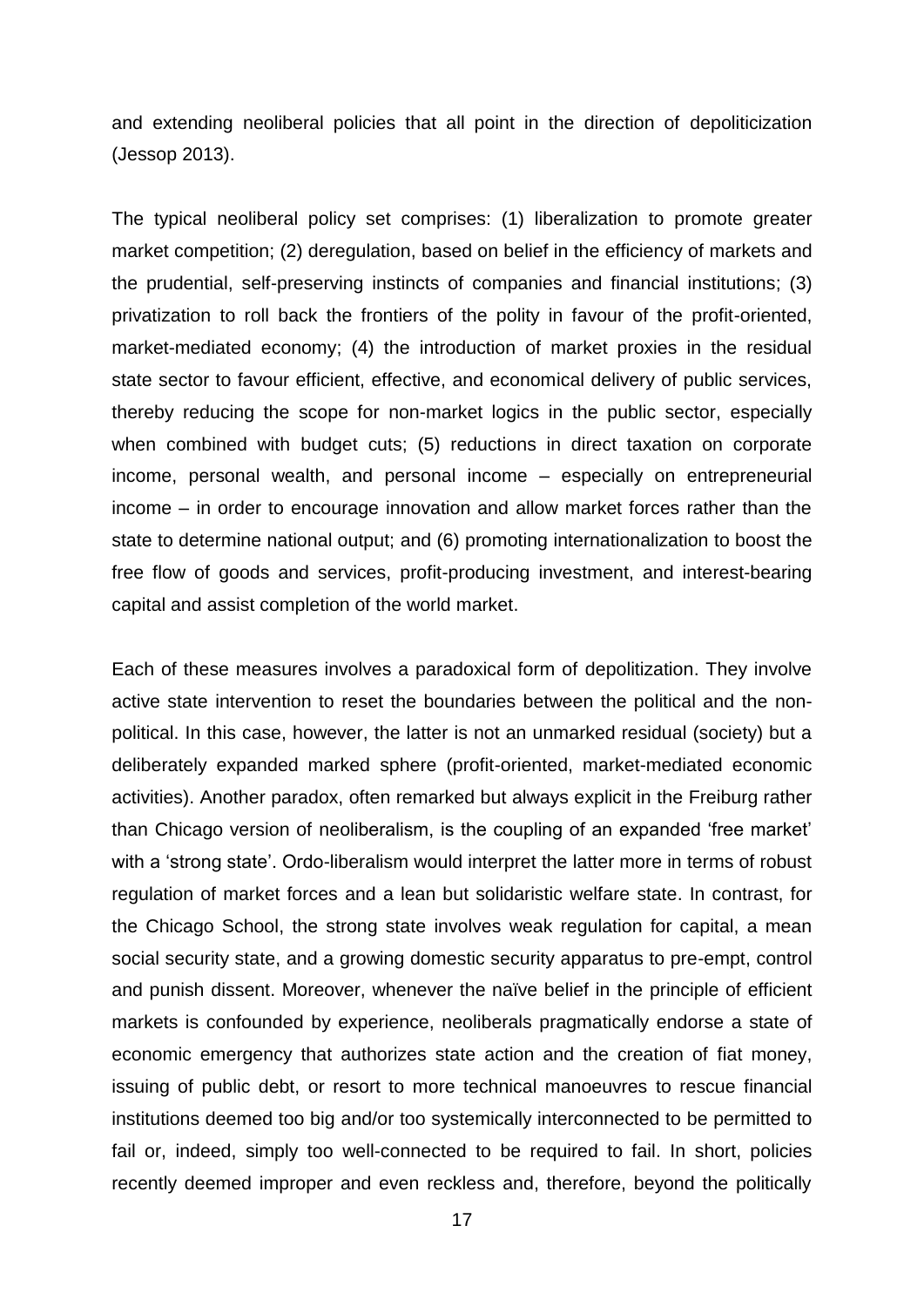and extending neoliberal policies that all point in the direction of depoliticization (Jessop 2013).

The typical neoliberal policy set comprises: (1) liberalization to promote greater market competition; (2) deregulation, based on belief in the efficiency of markets and the prudential, self-preserving instincts of companies and financial institutions; (3) privatization to roll back the frontiers of the polity in favour of the profit-oriented, market-mediated economy; (4) the introduction of market proxies in the residual state sector to favour efficient, effective, and economical delivery of public services, thereby reducing the scope for non-market logics in the public sector, especially when combined with budget cuts; (5) reductions in direct taxation on corporate income, personal wealth, and personal income – especially on entrepreneurial income – in order to encourage innovation and allow market forces rather than the state to determine national output; and (6) promoting internationalization to boost the free flow of goods and services, profit-producing investment, and interest-bearing capital and assist completion of the world market.

Each of these measures involves a paradoxical form of depolitization. They involve active state intervention to reset the boundaries between the political and the nonpolitical. In this case, however, the latter is not an unmarked residual (society) but a deliberately expanded marked sphere (profit-oriented, market-mediated economic activities). Another paradox, often remarked but always explicit in the Freiburg rather than Chicago version of neoliberalism, is the coupling of an expanded 'free market' with a 'strong state'. Ordo-liberalism would interpret the latter more in terms of robust regulation of market forces and a lean but solidaristic welfare state. In contrast, for the Chicago School, the strong state involves weak regulation for capital, a mean social security state, and a growing domestic security apparatus to pre-empt, control and punish dissent. Moreover, whenever the naïve belief in the principle of efficient markets is confounded by experience, neoliberals pragmatically endorse a state of economic emergency that authorizes state action and the creation of fiat money, issuing of public debt, or resort to more technical manoeuvres to rescue financial institutions deemed too big and/or too systemically interconnected to be permitted to fail or, indeed, simply too well-connected to be required to fail. In short, policies recently deemed improper and even reckless and, therefore, beyond the politically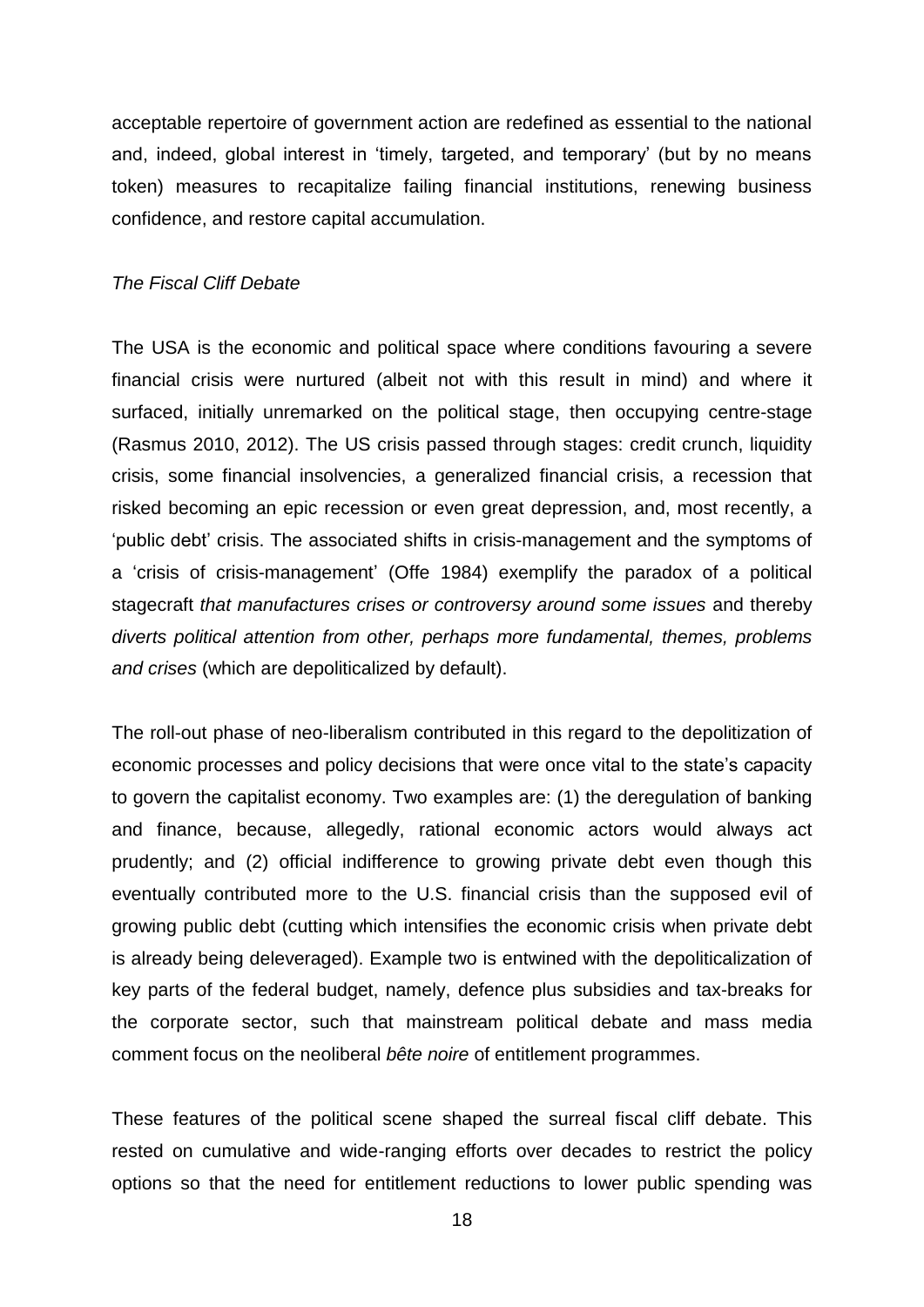acceptable repertoire of government action are redefined as essential to the national and, indeed, global interest in 'timely, targeted, and temporary' (but by no means token) measures to recapitalize failing financial institutions, renewing business confidence, and restore capital accumulation.

### *The Fiscal Cliff Debate*

The USA is the economic and political space where conditions favouring a severe financial crisis were nurtured (albeit not with this result in mind) and where it surfaced, initially unremarked on the political stage, then occupying centre-stage (Rasmus 2010, 2012). The US crisis passed through stages: credit crunch, liquidity crisis, some financial insolvencies, a generalized financial crisis, a recession that risked becoming an epic recession or even great depression, and, most recently, a 'public debt' crisis. The associated shifts in crisis-management and the symptoms of a 'crisis of crisis-management' (Offe 1984) exemplify the paradox of a political stagecraft *that manufactures crises or controversy around some issues* and thereby *diverts political attention from other, perhaps more fundamental, themes, problems and crises* (which are depoliticalized by default).

The roll-out phase of neo-liberalism contributed in this regard to the depolitization of economic processes and policy decisions that were once vital to the state's capacity to govern the capitalist economy. Two examples are: (1) the deregulation of banking and finance, because, allegedly, rational economic actors would always act prudently; and (2) official indifference to growing private debt even though this eventually contributed more to the U.S. financial crisis than the supposed evil of growing public debt (cutting which intensifies the economic crisis when private debt is already being deleveraged). Example two is entwined with the depoliticalization of key parts of the federal budget, namely, defence plus subsidies and tax-breaks for the corporate sector, such that mainstream political debate and mass media comment focus on the neoliberal *bête noire* of entitlement programmes.

These features of the political scene shaped the surreal fiscal cliff debate. This rested on cumulative and wide-ranging efforts over decades to restrict the policy options so that the need for entitlement reductions to lower public spending was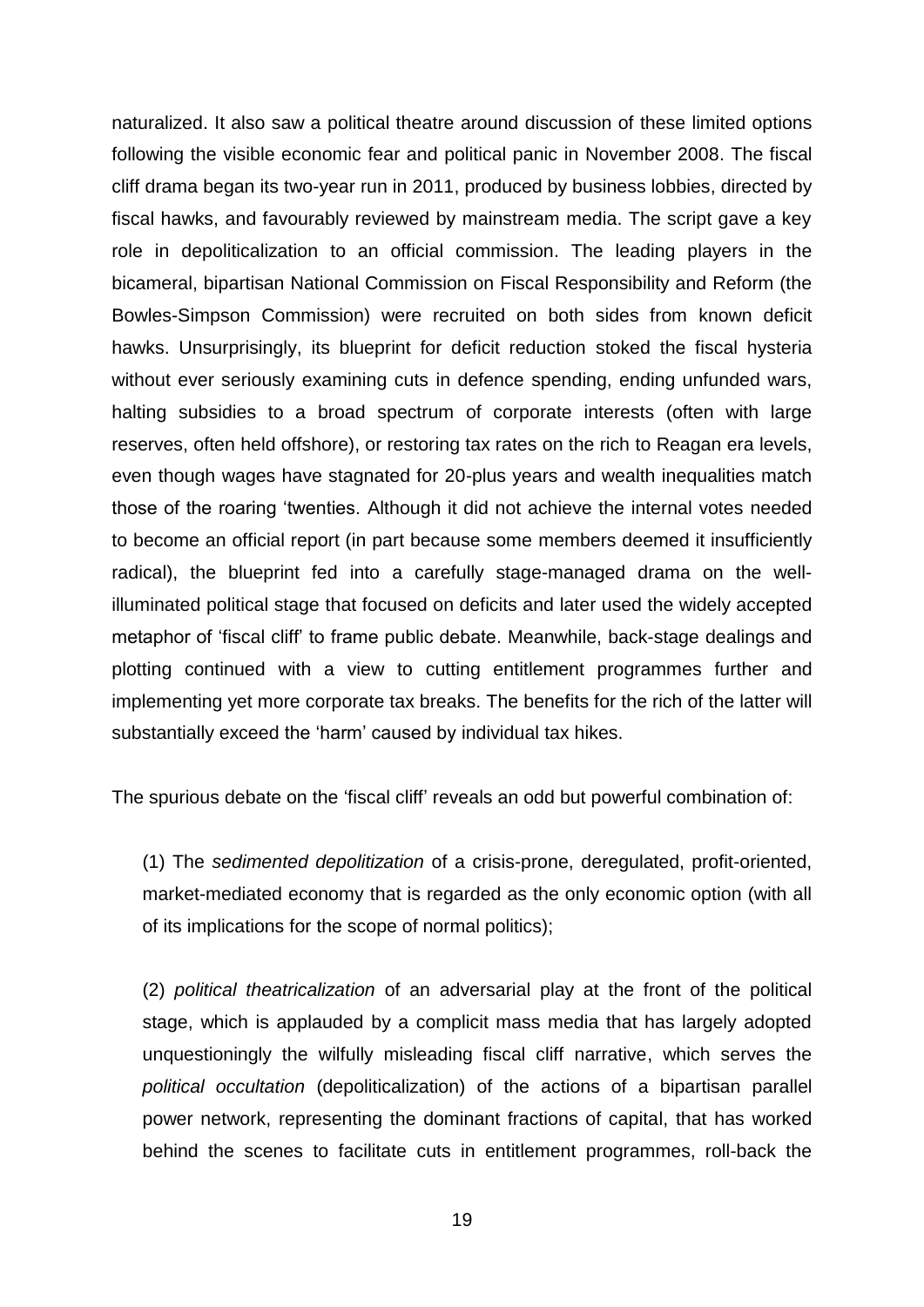naturalized. It also saw a political theatre around discussion of these limited options following the visible economic fear and political panic in November 2008. The fiscal cliff drama began its two-year run in 2011, produced by business lobbies, directed by fiscal hawks, and favourably reviewed by mainstream media. The script gave a key role in depoliticalization to an official commission. The leading players in the bicameral, bipartisan National Commission on Fiscal Responsibility and Reform (the Bowles-Simpson Commission) were recruited on both sides from known deficit hawks. Unsurprisingly, its blueprint for deficit reduction stoked the fiscal hysteria without ever seriously examining cuts in defence spending, ending unfunded wars, halting subsidies to a broad spectrum of corporate interests (often with large reserves, often held offshore), or restoring tax rates on the rich to Reagan era levels, even though wages have stagnated for 20-plus years and wealth inequalities match those of the roaring 'twenties. Although it did not achieve the internal votes needed to become an official report (in part because some members deemed it insufficiently radical), the blueprint fed into a carefully stage-managed drama on the wellilluminated political stage that focused on deficits and later used the widely accepted metaphor of 'fiscal cliff' to frame public debate. Meanwhile, back-stage dealings and plotting continued with a view to cutting entitlement programmes further and implementing yet more corporate tax breaks. The benefits for the rich of the latter will substantially exceed the 'harm' caused by individual tax hikes.

The spurious debate on the 'fiscal cliff' reveals an odd but powerful combination of:

(1) The *sedimented depolitization* of a crisis-prone, deregulated, profit-oriented, market-mediated economy that is regarded as the only economic option (with all of its implications for the scope of normal politics);

(2) *political theatricalization* of an adversarial play at the front of the political stage, which is applauded by a complicit mass media that has largely adopted unquestioningly the wilfully misleading fiscal cliff narrative, which serves the *political occultation* (depoliticalization) of the actions of a bipartisan parallel power network, representing the dominant fractions of capital, that has worked behind the scenes to facilitate cuts in entitlement programmes, roll-back the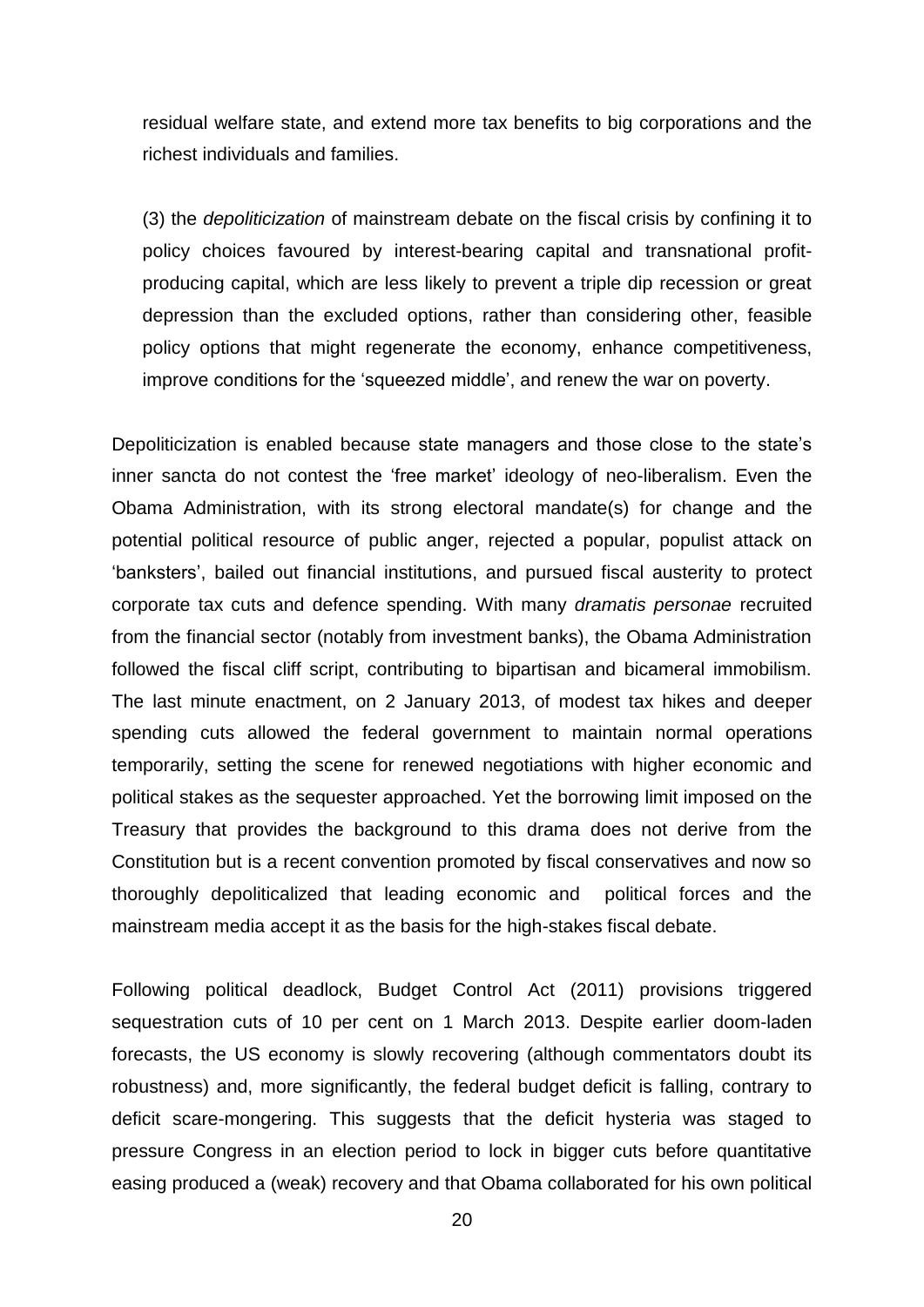residual welfare state, and extend more tax benefits to big corporations and the richest individuals and families.

(3) the *depoliticization* of mainstream debate on the fiscal crisis by confining it to policy choices favoured by interest-bearing capital and transnational profitproducing capital, which are less likely to prevent a triple dip recession or great depression than the excluded options, rather than considering other, feasible policy options that might regenerate the economy, enhance competitiveness, improve conditions for the 'squeezed middle', and renew the war on poverty.

Depoliticization is enabled because state managers and those close to the state's inner sancta do not contest the 'free market' ideology of neo-liberalism. Even the Obama Administration, with its strong electoral mandate(s) for change and the potential political resource of public anger, rejected a popular, populist attack on 'banksters', bailed out financial institutions, and pursued fiscal austerity to protect corporate tax cuts and defence spending. With many *dramatis personae* recruited from the financial sector (notably from investment banks), the Obama Administration followed the fiscal cliff script, contributing to bipartisan and bicameral immobilism. The last minute enactment, on 2 January 2013, of modest tax hikes and deeper spending cuts allowed the federal government to maintain normal operations temporarily, setting the scene for renewed negotiations with higher economic and political stakes as the sequester approached. Yet the borrowing limit imposed on the Treasury that provides the background to this drama does not derive from the Constitution but is a recent convention promoted by fiscal conservatives and now so thoroughly depoliticalized that leading economic and political forces and the mainstream media accept it as the basis for the high-stakes fiscal debate.

Following political deadlock, Budget Control Act (2011) provisions triggered sequestration cuts of 10 per cent on 1 March 2013. Despite earlier doom-laden forecasts, the US economy is slowly recovering (although commentators doubt its robustness) and, more significantly, the federal budget deficit is falling, contrary to deficit scare-mongering. This suggests that the deficit hysteria was staged to pressure Congress in an election period to lock in bigger cuts before quantitative easing produced a (weak) recovery and that Obama collaborated for his own political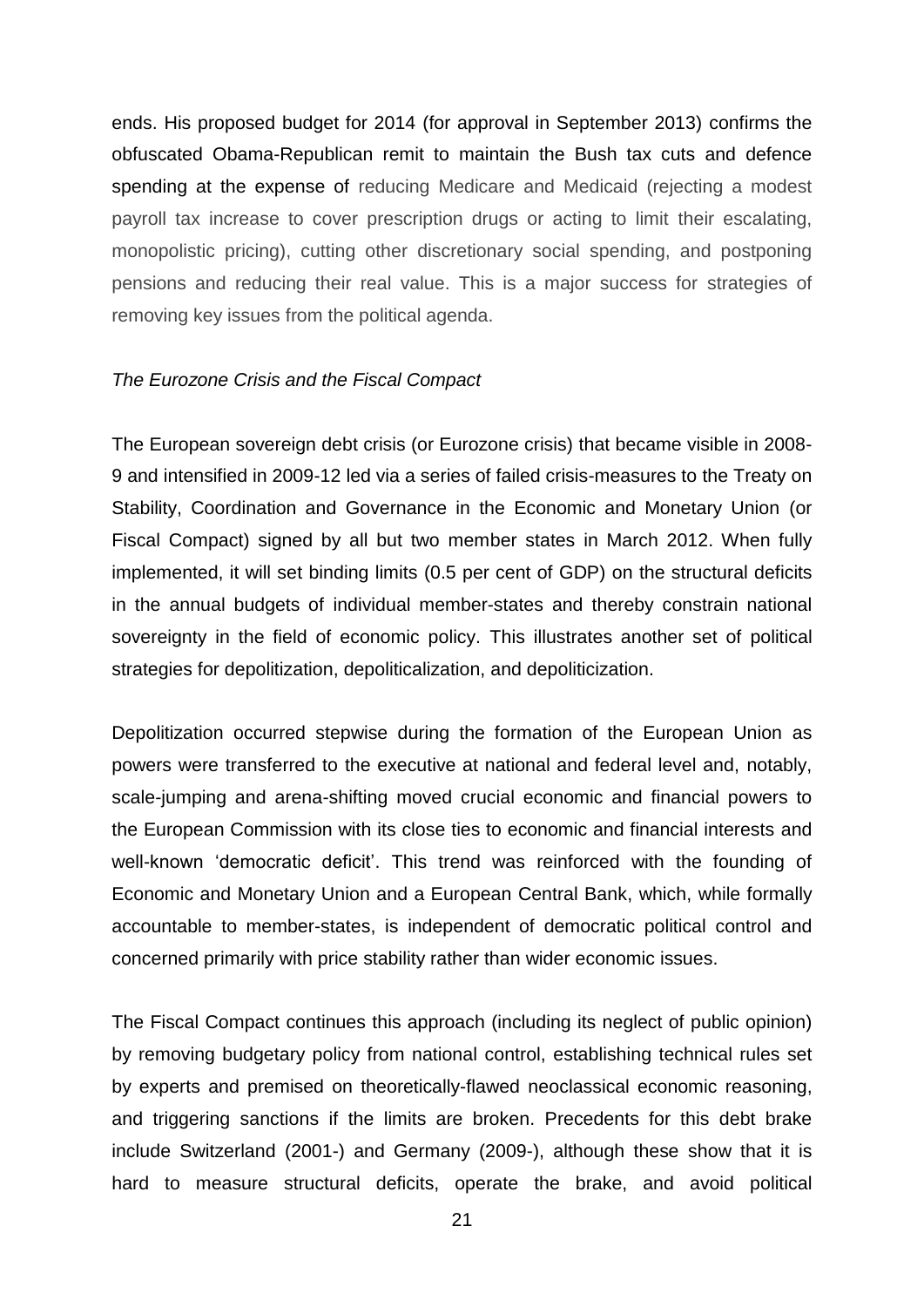ends. His proposed budget for 2014 (for approval in September 2013) confirms the obfuscated Obama-Republican remit to maintain the Bush tax cuts and defence spending at the expense of reducing Medicare and Medicaid (rejecting a modest payroll tax increase to cover prescription drugs or acting to limit their escalating, monopolistic pricing), cutting other discretionary social spending, and postponing pensions and reducing their real value. This is a major success for strategies of removing key issues from the political agenda.

#### *The Eurozone Crisis and the Fiscal Compact*

The European sovereign debt crisis (or Eurozone crisis) that became visible in 2008- 9 and intensified in 2009-12 led via a series of failed crisis-measures to the Treaty on Stability, Coordination and Governance in the Economic and Monetary Union (or Fiscal Compact) signed by all but two member states in March 2012. When fully implemented, it will set binding limits (0.5 per cent of GDP) on the structural deficits in the annual budgets of individual member-states and thereby constrain national sovereignty in the field of economic policy. This illustrates another set of political strategies for depolitization, depoliticalization, and depoliticization.

Depolitization occurred stepwise during the formation of the European Union as powers were transferred to the executive at national and federal level and, notably, scale-jumping and arena-shifting moved crucial economic and financial powers to the European Commission with its close ties to economic and financial interests and well-known 'democratic deficit'. This trend was reinforced with the founding of Economic and Monetary Union and a European Central Bank, which, while formally accountable to member-states, is independent of democratic political control and concerned primarily with price stability rather than wider economic issues.

The Fiscal Compact continues this approach (including its neglect of public opinion) by removing budgetary policy from national control, establishing technical rules set by experts and premised on theoretically-flawed neoclassical economic reasoning, and triggering sanctions if the limits are broken. Precedents for this debt brake include Switzerland (2001-) and Germany (2009-), although these show that it is hard to measure structural deficits, operate the brake, and avoid political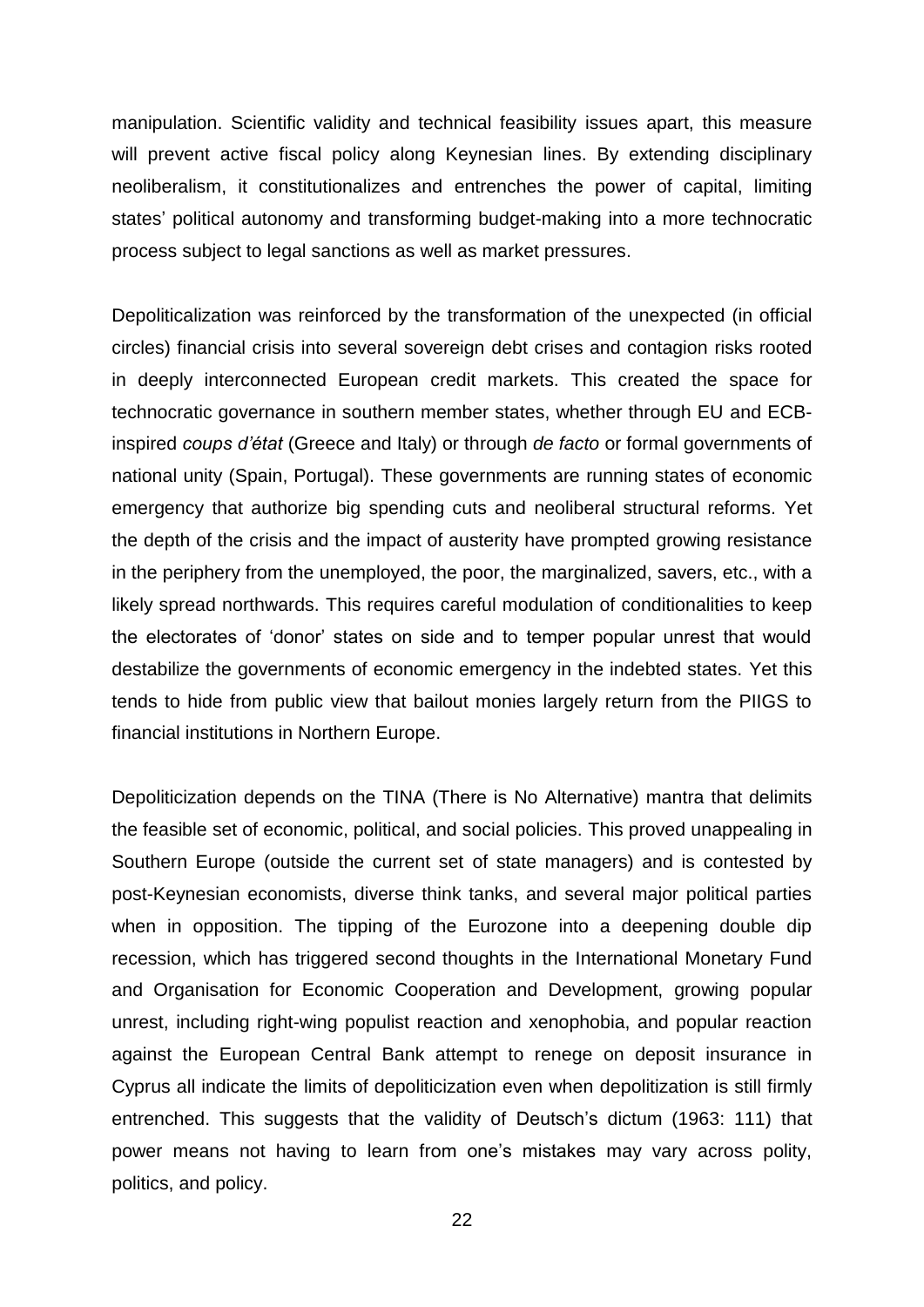manipulation. Scientific validity and technical feasibility issues apart, this measure will prevent active fiscal policy along Keynesian lines. By extending disciplinary neoliberalism, it constitutionalizes and entrenches the power of capital, limiting states' political autonomy and transforming budget-making into a more technocratic process subject to legal sanctions as well as market pressures.

Depoliticalization was reinforced by the transformation of the unexpected (in official circles) financial crisis into several sovereign debt crises and contagion risks rooted in deeply interconnected European credit markets. This created the space for technocratic governance in southern member states, whether through EU and ECBinspired *coups d'état* (Greece and Italy) or through *de facto* or formal governments of national unity (Spain, Portugal). These governments are running states of economic emergency that authorize big spending cuts and neoliberal structural reforms. Yet the depth of the crisis and the impact of austerity have prompted growing resistance in the periphery from the unemployed, the poor, the marginalized, savers, etc., with a likely spread northwards. This requires careful modulation of conditionalities to keep the electorates of 'donor' states on side and to temper popular unrest that would destabilize the governments of economic emergency in the indebted states. Yet this tends to hide from public view that bailout monies largely return from the PIIGS to financial institutions in Northern Europe.

Depoliticization depends on the TINA (There is No Alternative) mantra that delimits the feasible set of economic, political, and social policies. This proved unappealing in Southern Europe (outside the current set of state managers) and is contested by post-Keynesian economists, diverse think tanks, and several major political parties when in opposition. The tipping of the Eurozone into a deepening double dip recession, which has triggered second thoughts in the International Monetary Fund and Organisation for Economic Cooperation and Development, growing popular unrest, including right-wing populist reaction and xenophobia, and popular reaction against the European Central Bank attempt to renege on deposit insurance in Cyprus all indicate the limits of depoliticization even when depolitization is still firmly entrenched. This suggests that the validity of Deutsch's dictum (1963: 111) that power means not having to learn from one's mistakes may vary across polity, politics, and policy.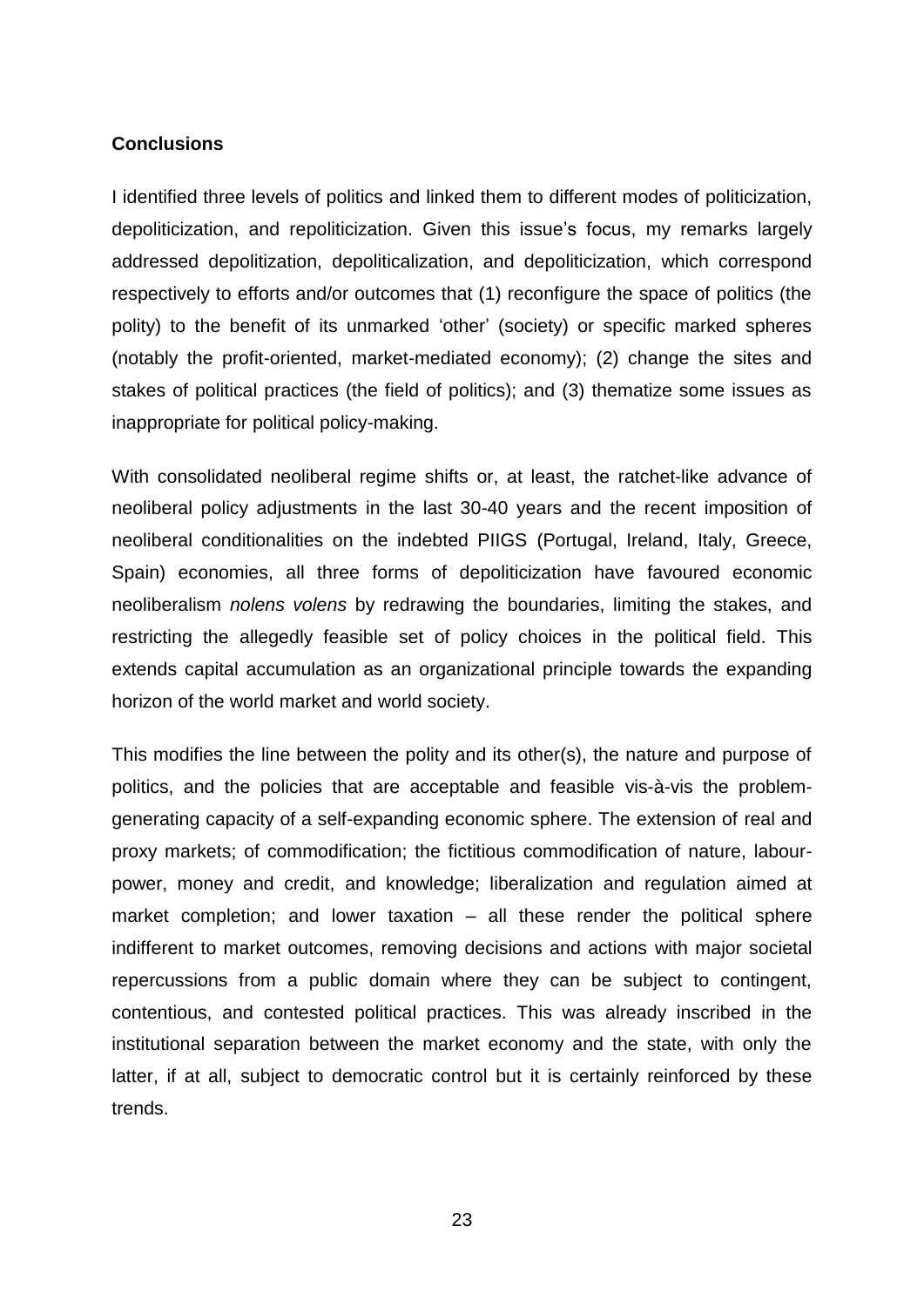### **Conclusions**

I identified three levels of politics and linked them to different modes of politicization, depoliticization, and repoliticization. Given this issue's focus, my remarks largely addressed depolitization, depoliticalization, and depoliticization, which correspond respectively to efforts and/or outcomes that (1) reconfigure the space of politics (the polity) to the benefit of its unmarked 'other' (society) or specific marked spheres (notably the profit-oriented, market-mediated economy); (2) change the sites and stakes of political practices (the field of politics); and (3) thematize some issues as inappropriate for political policy-making.

With consolidated neoliberal regime shifts or, at least, the ratchet-like advance of neoliberal policy adjustments in the last 30-40 years and the recent imposition of neoliberal conditionalities on the indebted PIIGS (Portugal, Ireland, Italy, Greece, Spain) economies, all three forms of depoliticization have favoured economic neoliberalism *nolens volens* by redrawing the boundaries, limiting the stakes, and restricting the allegedly feasible set of policy choices in the political field. This extends capital accumulation as an organizational principle towards the expanding horizon of the world market and world society.

This modifies the line between the polity and its other(s), the nature and purpose of politics, and the policies that are acceptable and feasible vis-à-vis the problemgenerating capacity of a self-expanding economic sphere. The extension of real and proxy markets; of commodification; the fictitious commodification of nature, labourpower, money and credit, and knowledge; liberalization and regulation aimed at market completion; and lower taxation – all these render the political sphere indifferent to market outcomes, removing decisions and actions with major societal repercussions from a public domain where they can be subject to contingent, contentious, and contested political practices. This was already inscribed in the institutional separation between the market economy and the state, with only the latter, if at all, subject to democratic control but it is certainly reinforced by these trends.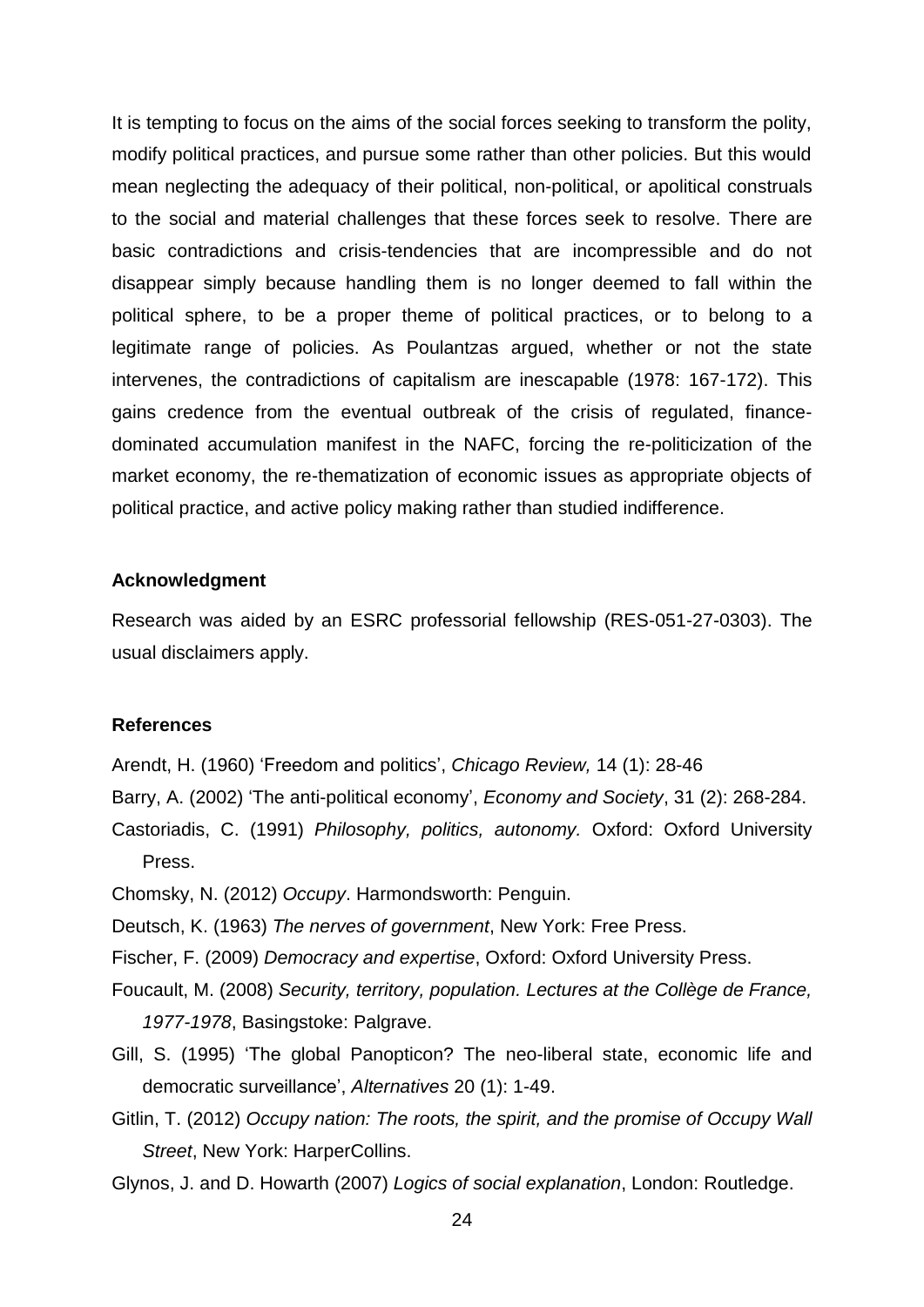It is tempting to focus on the aims of the social forces seeking to transform the polity, modify political practices, and pursue some rather than other policies. But this would mean neglecting the adequacy of their political, non-political, or apolitical construals to the social and material challenges that these forces seek to resolve. There are basic contradictions and crisis-tendencies that are incompressible and do not disappear simply because handling them is no longer deemed to fall within the political sphere, to be a proper theme of political practices, or to belong to a legitimate range of policies. As Poulantzas argued, whether or not the state intervenes, the contradictions of capitalism are inescapable (1978: 167-172). This gains credence from the eventual outbreak of the crisis of regulated, financedominated accumulation manifest in the NAFC, forcing the re-politicization of the market economy, the re-thematization of economic issues as appropriate objects of political practice, and active policy making rather than studied indifference.

#### **Acknowledgment**

Research was aided by an ESRC professorial fellowship (RES-051-27-0303). The usual disclaimers apply.

#### **References**

Arendt, H. (1960) 'Freedom and politics', *Chicago Review,* 14 (1): 28-46

- Barry, A. (2002) 'The anti-political economy', *Economy and Society*, 31 (2): 268-284.
- Castoriadis, C. (1991) *Philosophy, politics, autonomy.* Oxford: Oxford University Press.

Chomsky, N. (2012) *Occupy*. Harmondsworth: Penguin.

- Deutsch, K. (1963) *The nerves of government*, New York: Free Press.
- Fischer, F. (2009) *Democracy and expertise*, Oxford: Oxford University Press.
- Foucault, M. (2008) *Security, territory, population. Lectures at the Collège de France, 1977-1978*, Basingstoke: Palgrave.
- Gill, S. (1995) 'The global Panopticon? The neo-liberal state, economic life and democratic surveillance', *Alternatives* 20 (1): 1-49.
- Gitlin, T. (2012) *Occupy nation: The roots, the spirit, and the promise of Occupy Wall Street*, New York: HarperCollins.
- Glynos, J. and D. Howarth (2007) *Logics of social explanation*, London: Routledge.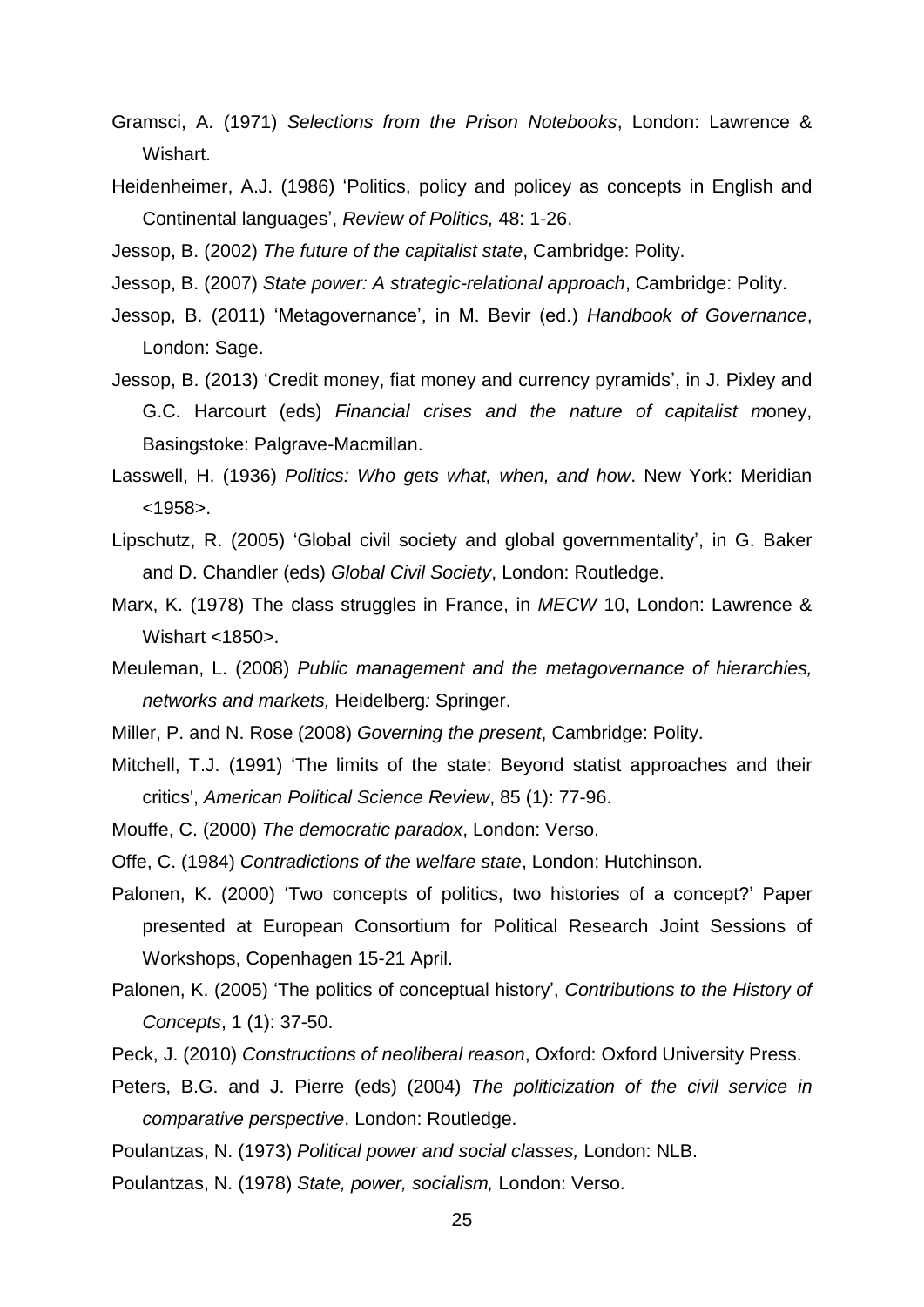- Gramsci, A. (1971) *Selections from the Prison Notebooks*, London: Lawrence & Wishart.
- Heidenheimer, A.J. (1986) 'Politics, policy and policey as concepts in English and Continental languages', *Review of Politics,* 48: 1-26.
- Jessop, B. (2002) *The future of the capitalist state*, Cambridge: Polity.
- Jessop, B. (2007) *State power: A strategic-relational approach*, Cambridge: Polity.
- Jessop, B. (2011) 'Metagovernance', in M. Bevir (ed.) *Handbook of Governance*, London: Sage.
- Jessop, B. (2013) 'Credit money, fiat money and currency pyramids', in J. Pixley and G.C. Harcourt (eds) *Financial crises and the nature of capitalist m*oney, Basingstoke: Palgrave-Macmillan.

Lasswell, H. (1936) *Politics: Who gets what, when, and how*. New York: Meridian <1958>.

- Lipschutz, R. (2005) 'Global civil society and global governmentality', in G. Baker and D. Chandler (eds) *Global Civil Society*, London: Routledge.
- Marx, K. (1978) The class struggles in France, in *MECW* 10, London: Lawrence & Wishart <1850>.
- Meuleman, L. (2008) *Public management and the metagovernance of hierarchies, networks and markets,* Heidelberg*:* Springer.
- Miller, P. and N. Rose (2008) *Governing the present*, Cambridge: Polity.
- Mitchell, T.J. (1991) 'The limits of the state: Beyond statist approaches and their critics', *American Political Science Review*, 85 (1): 77-96.
- Mouffe, C. (2000) *The democratic paradox*, London: Verso.
- Offe, C. (1984) *Contradictions of the welfare state*, London: Hutchinson.
- Palonen, K. (2000) 'Two concepts of politics, two histories of a concept?' Paper presented at European Consortium for Political Research Joint Sessions of Workshops, Copenhagen 15-21 April.
- Palonen, K. (2005) 'The politics of conceptual history', *Contributions to the History of Concepts*, 1 (1): 37-50.
- Peck, J. (2010) *Constructions of neoliberal reason*, Oxford: Oxford University Press.
- Peters, B.G. and J. Pierre (eds) (2004) *The politicization of the civil service in comparative perspective*. London: Routledge.
- Poulantzas, N. (1973) *Political power and social classes,* London: NLB.
- Poulantzas, N. (1978) *State, power, socialism,* London: Verso.